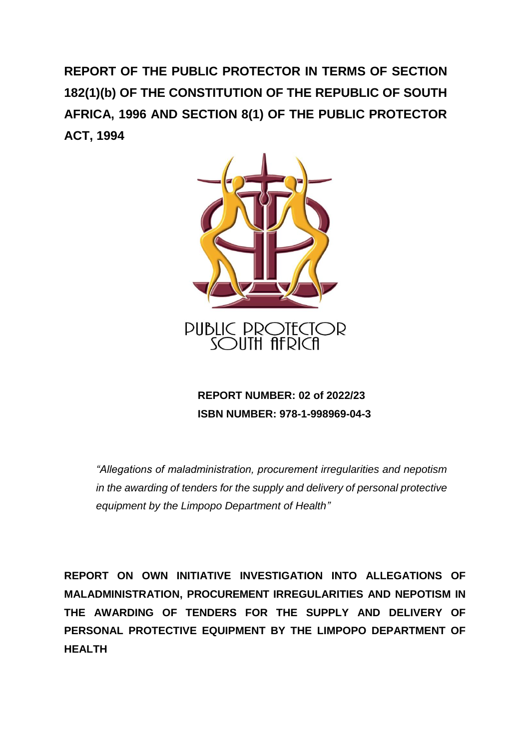**REPORT OF THE PUBLIC PROTECTOR IN TERMS OF SECTION 182(1)(b) OF THE CONSTITUTION OF THE REPUBLIC OF SOUTH AFRICA, 1996 AND SECTION 8(1) OF THE PUBLIC PROTECTOR ACT, 1994**



 **REPORT NUMBER: 02 of 2022/23 ISBN NUMBER: 978-1-998969-04-3**

*"Allegations of maladministration, procurement irregularities and nepotism in the awarding of tenders for the supply and delivery of personal protective equipment by the Limpopo Department of Health"*

**REPORT ON OWN INITIATIVE INVESTIGATION INTO ALLEGATIONS OF MALADMINISTRATION, PROCUREMENT IRREGULARITIES AND NEPOTISM IN THE AWARDING OF TENDERS FOR THE SUPPLY AND DELIVERY OF PERSONAL PROTECTIVE EQUIPMENT BY THE LIMPOPO DEPARTMENT OF HEALTH**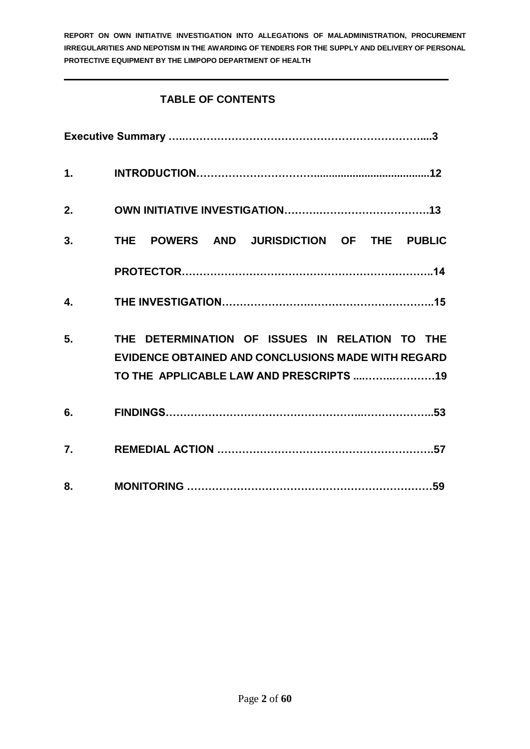## **TABLE OF CONTENTS**

| $\mathbf{1}$ . |                                                                                                      |
|----------------|------------------------------------------------------------------------------------------------------|
| 2.             |                                                                                                      |
| 3.             | THE POWERS AND JURISDICTION OF THE PUBLIC                                                            |
|                |                                                                                                      |
| $\mathbf{4}$ . |                                                                                                      |
| 5.             | THE DETERMINATION OF ISSUES IN RELATION TO THE<br>EVIDENCE OBTAINED AND CONCLUSIONS MADE WITH REGARD |
| 6.             |                                                                                                      |
| 7.             |                                                                                                      |
| 8.             |                                                                                                      |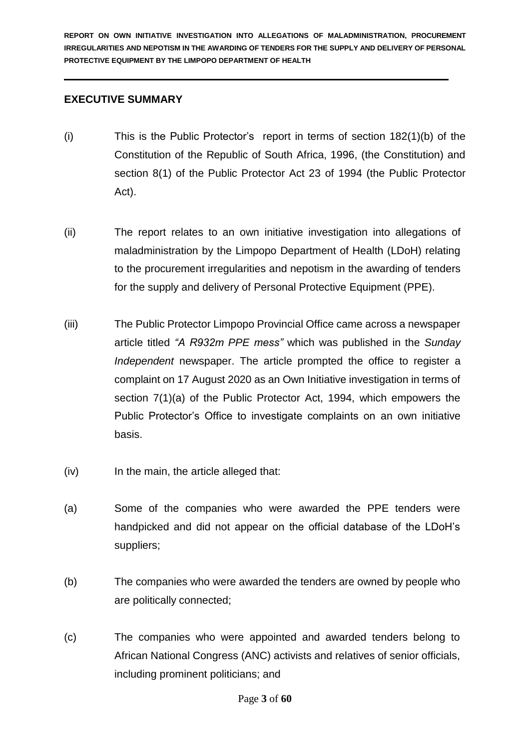### **EXECUTIVE SUMMARY**

- (i) This is the Public Protector's report in terms of section 182(1)(b) of the Constitution of the Republic of South Africa, 1996, (the Constitution) and section 8(1) of the Public Protector Act 23 of 1994 (the Public Protector Act).
- (ii) The report relates to an own initiative investigation into allegations of maladministration by the Limpopo Department of Health (LDoH) relating to the procurement irregularities and nepotism in the awarding of tenders for the supply and delivery of Personal Protective Equipment (PPE).
- (iii) The Public Protector Limpopo Provincial Office came across a newspaper article titled *"A R932m PPE mess"* which was published in the *Sunday Independent* newspaper. The article prompted the office to register a complaint on 17 August 2020 as an Own Initiative investigation in terms of section 7(1)(a) of the Public Protector Act, 1994, which empowers the Public Protector's Office to investigate complaints on an own initiative basis.
- (iv) In the main, the article alleged that:
- (a) Some of the companies who were awarded the PPE tenders were handpicked and did not appear on the official database of the LDoH's suppliers;
- (b) The companies who were awarded the tenders are owned by people who are politically connected;
- (c) The companies who were appointed and awarded tenders belong to African National Congress (ANC) activists and relatives of senior officials, including prominent politicians; and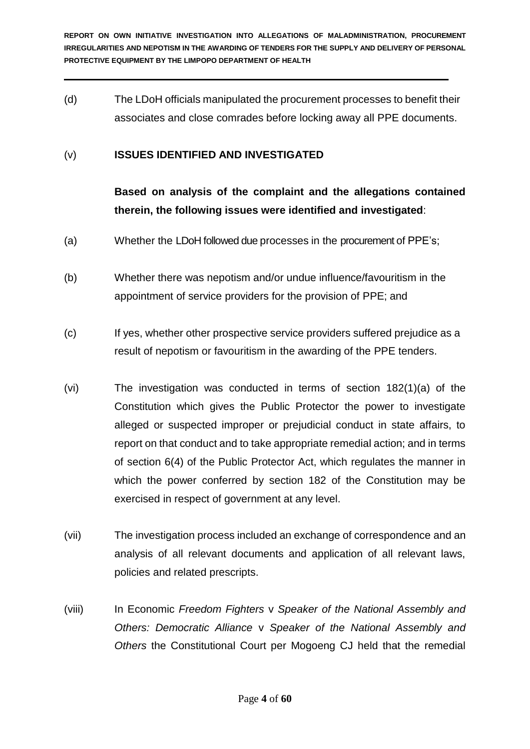(d) The LDoH officials manipulated the procurement processes to benefit their associates and close comrades before locking away all PPE documents.

### (v) **ISSUES IDENTIFIED AND INVESTIGATED**

**Based on analysis of the complaint and the allegations contained therein, the following issues were identified and investigated**:

- (a) Whether the LDoH followed due processes in the procurement of PPE's;
- (b) Whether there was nepotism and/or undue influence/favouritism in the appointment of service providers for the provision of PPE; and
- (c) If yes, whether other prospective service providers suffered prejudice as a result of nepotism or favouritism in the awarding of the PPE tenders.
- (vi) The investigation was conducted in terms of section 182(1)(a) of the Constitution which gives the Public Protector the power to investigate alleged or suspected improper or prejudicial conduct in state affairs, to report on that conduct and to take appropriate remedial action; and in terms of section 6(4) of the Public Protector Act, which regulates the manner in which the power conferred by section 182 of the Constitution may be exercised in respect of government at any level.
- (vii) The investigation process included an exchange of correspondence and an analysis of all relevant documents and application of all relevant laws, policies and related prescripts.
- (viii) In Economic *Freedom Fighters* v *Speaker of the National Assembly and Others: Democratic Alliance* v *Speaker of the National Assembly and Others* the Constitutional Court per Mogoeng CJ held that the remedial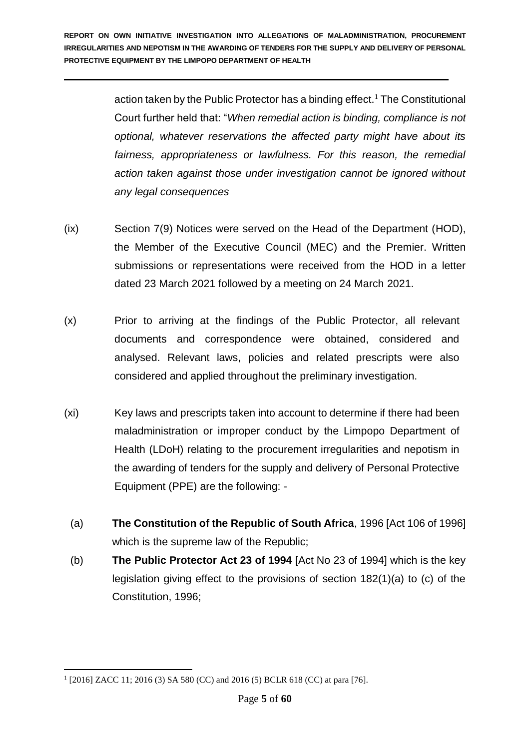> action taken by the Public Protector has a binding effect.<sup>1</sup> The Constitutional Court further held that: "*When remedial action is binding, compliance is not optional, whatever reservations the affected party might have about its fairness, appropriateness or lawfulness. For this reason, the remedial action taken against those under investigation cannot be ignored without any legal consequences*

- (ix) Section 7(9) Notices were served on the Head of the Department (HOD), the Member of the Executive Council (MEC) and the Premier. Written submissions or representations were received from the HOD in a letter dated 23 March 2021 followed by a meeting on 24 March 2021.
- (x) Prior to arriving at the findings of the Public Protector, all relevant documents and correspondence were obtained, considered and analysed. Relevant laws, policies and related prescripts were also considered and applied throughout the preliminary investigation.
- (xi) Key laws and prescripts taken into account to determine if there had been maladministration or improper conduct by the Limpopo Department of Health (LDoH) relating to the procurement irregularities and nepotism in the awarding of tenders for the supply and delivery of Personal Protective Equipment (PPE) are the following: -
	- (a) **The Constitution of the Republic of South Africa**, 1996 [Act 106 of 1996] which is the supreme law of the Republic;
	- (b) **The Public Protector Act 23 of 1994** [Act No 23 of 1994] which is the key legislation giving effect to the provisions of section 182(1)(a) to (c) of the Constitution, 1996;

<sup>1</sup> 1 [2016] ZACC 11; 2016 (3) SA 580 (CC) and 2016 (5) BCLR 618 (CC) at para [76].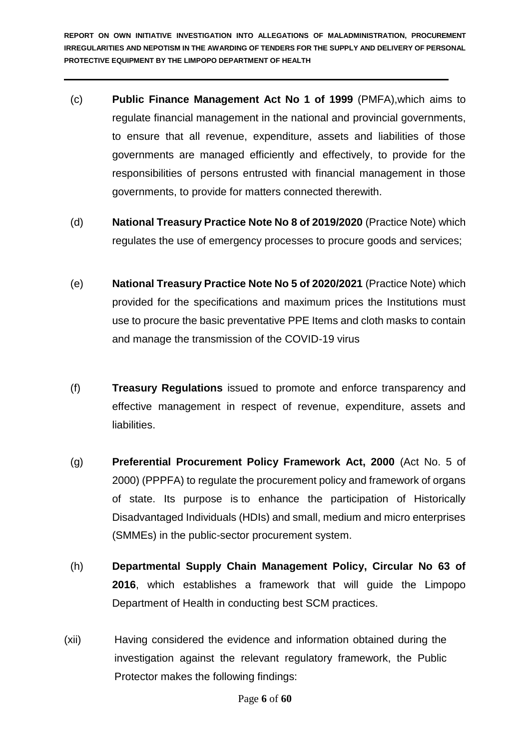- (c) **Public Finance Management Act No 1 of 1999** (PMFA),which aims to regulate financial management in the national and provincial governments, to ensure that all revenue, expenditure, assets and liabilities of those governments are managed efficiently and effectively, to provide for the responsibilities of persons entrusted with financial management in those governments, to provide for matters connected therewith.
- (d) **National Treasury Practice Note No 8 of 2019/2020** (Practice Note) which regulates the use of emergency processes to procure goods and services;
- (e) **National Treasury Practice Note No 5 of 2020/2021** (Practice Note) which provided for the specifications and maximum prices the Institutions must use to procure the basic preventative PPE Items and cloth masks to contain and manage the transmission of the COVID-19 virus
- (f) **Treasury Regulations** issued to promote and enforce transparency and effective management in respect of revenue, expenditure, assets and liabilities.
- (g) **Preferential Procurement Policy Framework Act, 2000** (Act No. 5 of 2000) (PPPFA) to regulate the procurement policy and framework of organs of state. Its purpose is to enhance the participation of Historically Disadvantaged Individuals (HDIs) and small, medium and micro enterprises (SMMEs) in the public-sector procurement system.
- (h) **Departmental Supply Chain Management Policy, Circular No 63 of 2016**, which establishes a framework that will guide the Limpopo Department of Health in conducting best SCM practices.
- (xii) Having considered the evidence and information obtained during the investigation against the relevant regulatory framework, the Public Protector makes the following findings: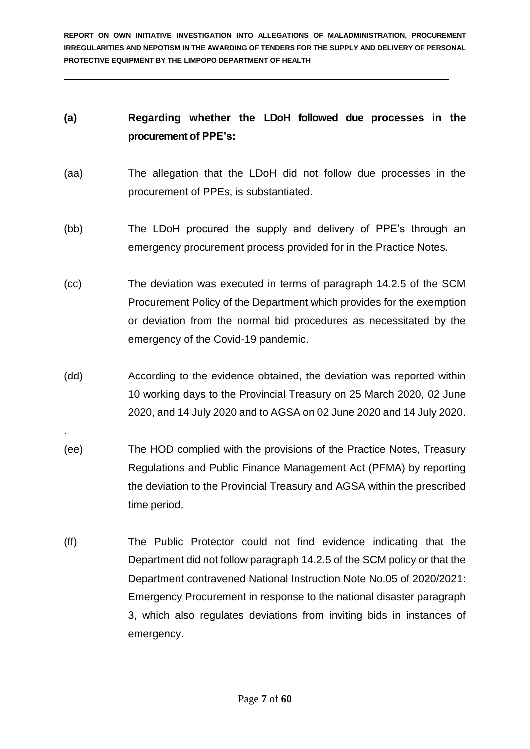## **(a) Regarding whether the LDoH followed due processes in the procurement of PPE's:**

- (aa) The allegation that the LDoH did not follow due processes in the procurement of PPEs, is substantiated.
- (bb) The LDoH procured the supply and delivery of PPE's through an emergency procurement process provided for in the Practice Notes.
- (cc) The deviation was executed in terms of paragraph 14.2.5 of the SCM Procurement Policy of the Department which provides for the exemption or deviation from the normal bid procedures as necessitated by the emergency of the Covid-19 pandemic.
- (dd) According to the evidence obtained, the deviation was reported within 10 working days to the Provincial Treasury on 25 March 2020, 02 June 2020, and 14 July 2020 and to AGSA on 02 June 2020 and 14 July 2020.

.

- (ee) The HOD complied with the provisions of the Practice Notes, Treasury Regulations and Public Finance Management Act (PFMA) by reporting the deviation to the Provincial Treasury and AGSA within the prescribed time period.
- (ff) The Public Protector could not find evidence indicating that the Department did not follow paragraph 14.2.5 of the SCM policy or that the Department contravened National Instruction Note No.05 of 2020/2021: Emergency Procurement in response to the national disaster paragraph 3, which also regulates deviations from inviting bids in instances of emergency.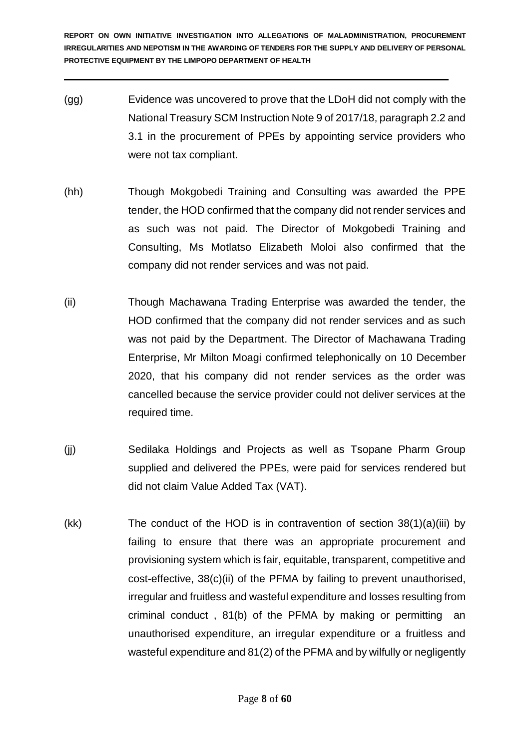- (gg) Evidence was uncovered to prove that the LDoH did not comply with the National Treasury SCM Instruction Note 9 of 2017/18, paragraph 2.2 and 3.1 in the procurement of PPEs by appointing service providers who were not tax compliant.
- (hh) Though Mokgobedi Training and Consulting was awarded the PPE tender, the HOD confirmed that the company did not render services and as such was not paid. The Director of Mokgobedi Training and Consulting, Ms Motlatso Elizabeth Moloi also confirmed that the company did not render services and was not paid.
- (ii) Though Machawana Trading Enterprise was awarded the tender, the HOD confirmed that the company did not render services and as such was not paid by the Department. The Director of Machawana Trading Enterprise, Mr Milton Moagi confirmed telephonically on 10 December 2020, that his company did not render services as the order was cancelled because the service provider could not deliver services at the required time.
- (jj) Sedilaka Holdings and Projects as well as Tsopane Pharm Group supplied and delivered the PPEs, were paid for services rendered but did not claim Value Added Tax (VAT).
- (kk) The conduct of the HOD is in contravention of section 38(1)(a)(iii) by failing to ensure that there was an appropriate procurement and provisioning system which is fair, equitable, transparent, competitive and cost-effective, 38(c)(ii) of the PFMA by failing to prevent unauthorised, irregular and fruitless and wasteful expenditure and losses resulting from criminal conduct , 81(b) of the PFMA by making or permitting an unauthorised expenditure, an irregular expenditure or a fruitless and wasteful expenditure and 81(2) of the PFMA and by wilfully or negligently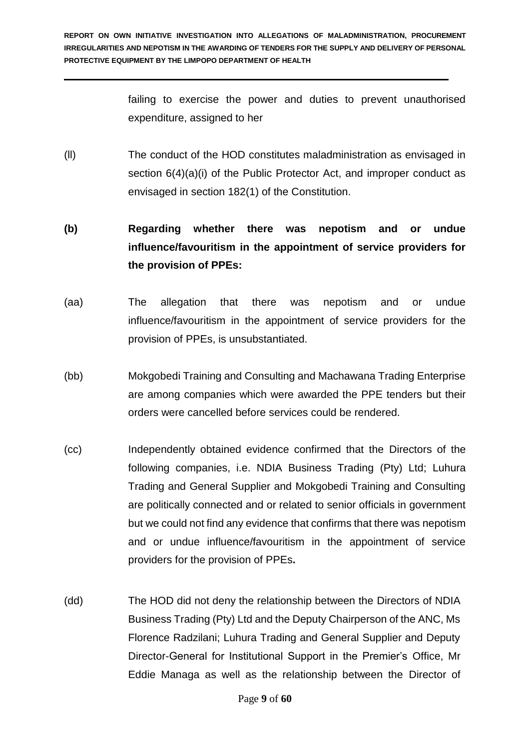failing to exercise the power and duties to prevent unauthorised expenditure, assigned to her

(ll) The conduct of the HOD constitutes maladministration as envisaged in section  $6(4)(a)(i)$  of the Public Protector Act, and improper conduct as envisaged in section 182(1) of the Constitution.

# **(b) Regarding whether there was nepotism and or undue influence/favouritism in the appointment of service providers for the provision of PPEs:**

- (aa) The allegation that there was nepotism and or undue influence/favouritism in the appointment of service providers for the provision of PPEs, is unsubstantiated.
- (bb) Mokgobedi Training and Consulting and Machawana Trading Enterprise are among companies which were awarded the PPE tenders but their orders were cancelled before services could be rendered.
- (cc) Independently obtained evidence confirmed that the Directors of the following companies, i.e. NDIA Business Trading (Pty) Ltd; Luhura Trading and General Supplier and Mokgobedi Training and Consulting are politically connected and or related to senior officials in government but we could not find any evidence that confirms that there was nepotism and or undue influence/favouritism in the appointment of service providers for the provision of PPEs**.**
- (dd) The HOD did not deny the relationship between the Directors of NDIA Business Trading (Pty) Ltd and the Deputy Chairperson of the ANC, Ms Florence Radzilani; Luhura Trading and General Supplier and Deputy Director-General for Institutional Support in the Premier's Office, Mr Eddie Managa as well as the relationship between the Director of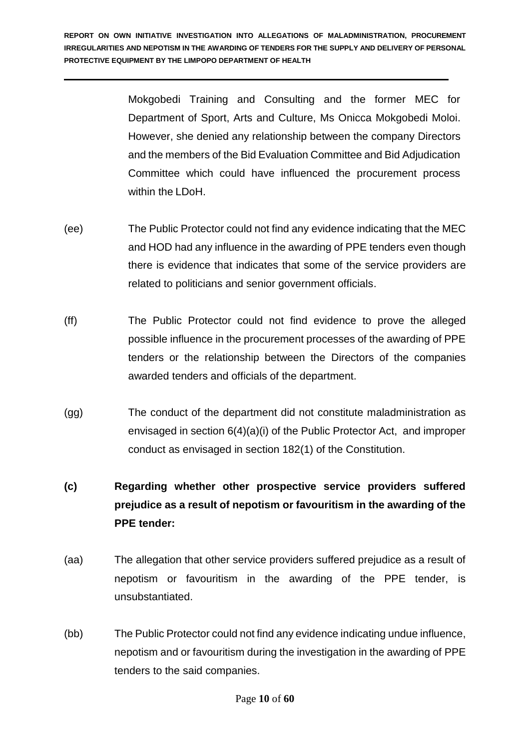> Mokgobedi Training and Consulting and the former MEC for Department of Sport, Arts and Culture, Ms Onicca Mokgobedi Moloi. However, she denied any relationship between the company Directors and the members of the Bid Evaluation Committee and Bid Adjudication Committee which could have influenced the procurement process within the LDoH.

- (ee) The Public Protector could not find any evidence indicating that the MEC and HOD had any influence in the awarding of PPE tenders even though there is evidence that indicates that some of the service providers are related to politicians and senior government officials.
- (ff) The Public Protector could not find evidence to prove the alleged possible influence in the procurement processes of the awarding of PPE tenders or the relationship between the Directors of the companies awarded tenders and officials of the department.
- (gg) The conduct of the department did not constitute maladministration as envisaged in section 6(4)(a)(i) of the Public Protector Act, and improper conduct as envisaged in section 182(1) of the Constitution.
- **(c) Regarding whether other prospective service providers suffered prejudice as a result of nepotism or favouritism in the awarding of the PPE tender:**
- (aa) The allegation that other service providers suffered prejudice as a result of nepotism or favouritism in the awarding of the PPE tender, is unsubstantiated.
- (bb) The Public Protector could not find any evidence indicating undue influence, nepotism and or favouritism during the investigation in the awarding of PPE tenders to the said companies.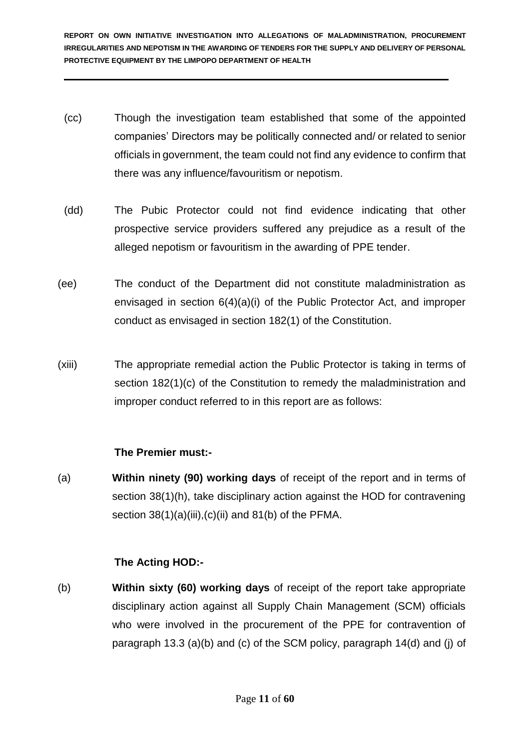- (cc) Though the investigation team established that some of the appointed companies' Directors may be politically connected and/ or related to senior officials in government, the team could not find any evidence to confirm that there was any influence/favouritism or nepotism.
- (dd) The Pubic Protector could not find evidence indicating that other prospective service providers suffered any prejudice as a result of the alleged nepotism or favouritism in the awarding of PPE tender.
- (ee) The conduct of the Department did not constitute maladministration as envisaged in section 6(4)(a)(i) of the Public Protector Act, and improper conduct as envisaged in section 182(1) of the Constitution.
- (xiii) The appropriate remedial action the Public Protector is taking in terms of section 182(1)(c) of the Constitution to remedy the maladministration and improper conduct referred to in this report are as follows:

## **The Premier must:-**

(a) **Within ninety (90) working days** of receipt of the report and in terms of section 38(1)(h), take disciplinary action against the HOD for contravening section  $38(1)(a)(iii),(c)(ii)$  and  $81(b)$  of the PFMA.

## **The Acting HOD:-**

(b) **Within sixty (60) working days** of receipt of the report take appropriate disciplinary action against all Supply Chain Management (SCM) officials who were involved in the procurement of the PPE for contravention of paragraph 13.3 (a)(b) and (c) of the SCM policy, paragraph 14(d) and (j) of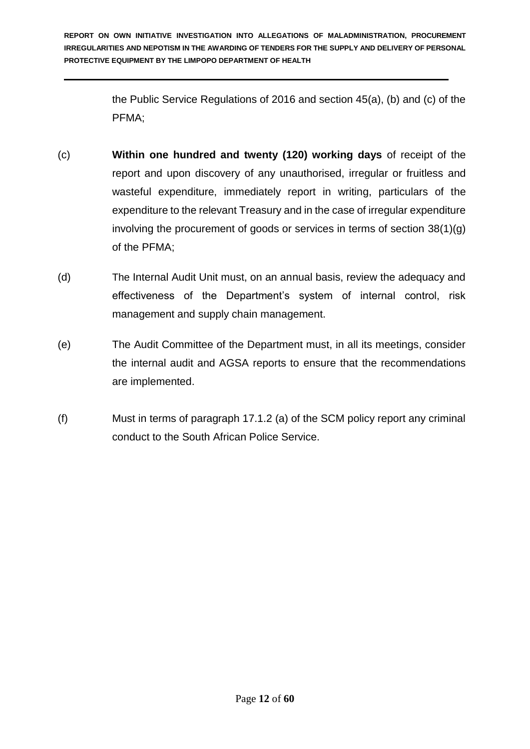> the Public Service Regulations of 2016 and section 45(a), (b) and (c) of the PFMA;

- (c) **Within one hundred and twenty (120) working days** of receipt of the report and upon discovery of any unauthorised, irregular or fruitless and wasteful expenditure, immediately report in writing, particulars of the expenditure to the relevant Treasury and in the case of irregular expenditure involving the procurement of goods or services in terms of section 38(1)(g) of the PFMA;
- (d) The Internal Audit Unit must, on an annual basis, review the adequacy and effectiveness of the Department's system of internal control, risk management and supply chain management.
- (e) The Audit Committee of the Department must, in all its meetings, consider the internal audit and AGSA reports to ensure that the recommendations are implemented.
- (f) Must in terms of paragraph 17.1.2 (a) of the SCM policy report any criminal conduct to the South African Police Service.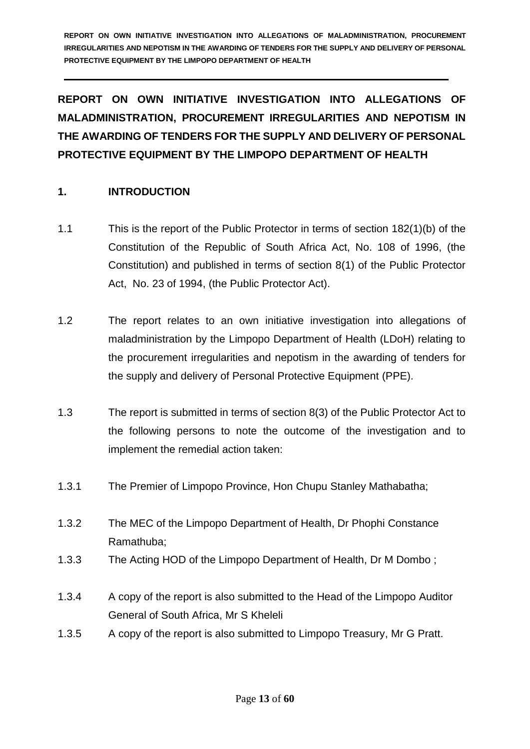**REPORT ON OWN INITIATIVE INVESTIGATION INTO ALLEGATIONS OF MALADMINISTRATION, PROCUREMENT IRREGULARITIES AND NEPOTISM IN THE AWARDING OF TENDERS FOR THE SUPPLY AND DELIVERY OF PERSONAL PROTECTIVE EQUIPMENT BY THE LIMPOPO DEPARTMENT OF HEALTH**

## **1. INTRODUCTION**

- 1.1 This is the report of the Public Protector in terms of section 182(1)(b) of the Constitution of the Republic of South Africa Act, No. 108 of 1996, (the Constitution) and published in terms of section 8(1) of the Public Protector Act, No. 23 of 1994, (the Public Protector Act).
- 1.2 The report relates to an own initiative investigation into allegations of maladministration by the Limpopo Department of Health (LDoH) relating to the procurement irregularities and nepotism in the awarding of tenders for the supply and delivery of Personal Protective Equipment (PPE).
- 1.3 The report is submitted in terms of section 8(3) of the Public Protector Act to the following persons to note the outcome of the investigation and to implement the remedial action taken:
- 1.3.1 The Premier of Limpopo Province, Hon Chupu Stanley Mathabatha;
- 1.3.2 The MEC of the Limpopo Department of Health, Dr Phophi Constance Ramathuba;
- 1.3.3 The Acting HOD of the Limpopo Department of Health, Dr M Dombo ;
- 1.3.4 A copy of the report is also submitted to the Head of the Limpopo Auditor General of South Africa, Mr S Kheleli
- 1.3.5 A copy of the report is also submitted to Limpopo Treasury, Mr G Pratt.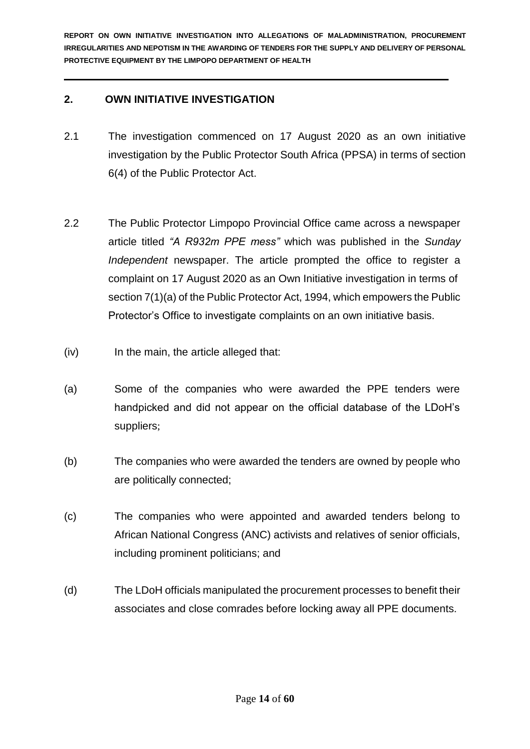## **2. OWN INITIATIVE INVESTIGATION**

- 2.1 The investigation commenced on 17 August 2020 as an own initiative investigation by the Public Protector South Africa (PPSA) in terms of section 6(4) of the Public Protector Act.
- 2.2 The Public Protector Limpopo Provincial Office came across a newspaper article titled *"A R932m PPE mess"* which was published in the *Sunday Independent* newspaper. The article prompted the office to register a complaint on 17 August 2020 as an Own Initiative investigation in terms of section 7(1)(a) of the Public Protector Act, 1994, which empowers the Public Protector's Office to investigate complaints on an own initiative basis.
- (iv) In the main, the article alleged that:
- (a) Some of the companies who were awarded the PPE tenders were handpicked and did not appear on the official database of the LDoH's suppliers;
- (b) The companies who were awarded the tenders are owned by people who are politically connected;
- (c) The companies who were appointed and awarded tenders belong to African National Congress (ANC) activists and relatives of senior officials, including prominent politicians; and
- (d) The LDoH officials manipulated the procurement processes to benefit their associates and close comrades before locking away all PPE documents.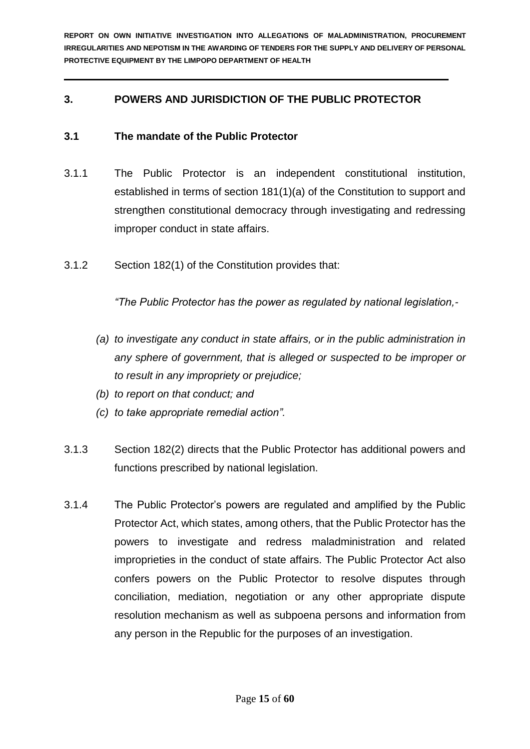## **3. POWERS AND JURISDICTION OF THE PUBLIC PROTECTOR**

## **3.1 The mandate of the Public Protector**

- 3.1.1 The Public Protector is an independent constitutional institution, established in terms of section 181(1)(a) of the Constitution to support and strengthen constitutional democracy through investigating and redressing improper conduct in state affairs.
- 3.1.2 Section 182(1) of the Constitution provides that:

*"The Public Protector has the power as regulated by national legislation,-*

- *(a) to investigate any conduct in state affairs, or in the public administration in any sphere of government, that is alleged or suspected to be improper or to result in any impropriety or prejudice;*
- *(b) to report on that conduct; and*
- *(c) to take appropriate remedial action".*
- 3.1.3 Section 182(2) directs that the Public Protector has additional powers and functions prescribed by national legislation.
- 3.1.4 The Public Protector's powers are regulated and amplified by the Public Protector Act, which states, among others, that the Public Protector has the powers to investigate and redress maladministration and related improprieties in the conduct of state affairs. The Public Protector Act also confers powers on the Public Protector to resolve disputes through conciliation, mediation, negotiation or any other appropriate dispute resolution mechanism as well as subpoena persons and information from any person in the Republic for the purposes of an investigation.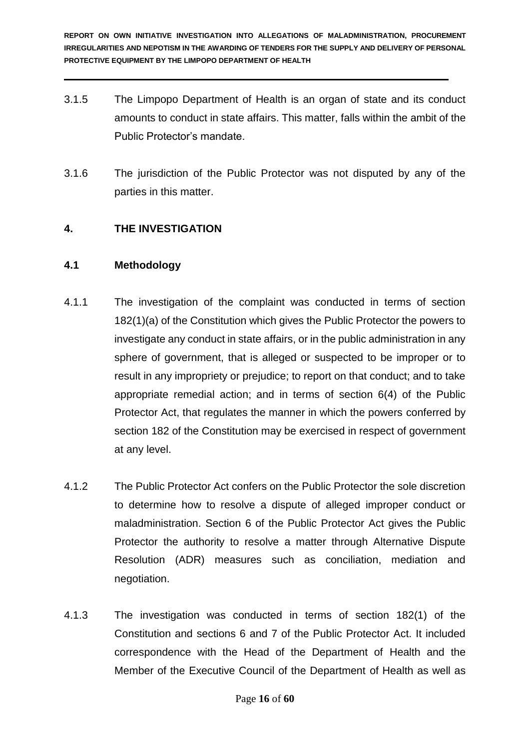- 3.1.5 The Limpopo Department of Health is an organ of state and its conduct amounts to conduct in state affairs. This matter, falls within the ambit of the Public Protector's mandate.
- 3.1.6 The jurisdiction of the Public Protector was not disputed by any of the parties in this matter.

## **4. THE INVESTIGATION**

#### **4.1 Methodology**

- 4.1.1 The investigation of the complaint was conducted in terms of section 182(1)(a) of the Constitution which gives the Public Protector the powers to investigate any conduct in state affairs, or in the public administration in any sphere of government, that is alleged or suspected to be improper or to result in any impropriety or prejudice; to report on that conduct; and to take appropriate remedial action; and in terms of section 6(4) of the Public Protector Act, that regulates the manner in which the powers conferred by section 182 of the Constitution may be exercised in respect of government at any level.
- 4.1.2 The Public Protector Act confers on the Public Protector the sole discretion to determine how to resolve a dispute of alleged improper conduct or maladministration. Section 6 of the Public Protector Act gives the Public Protector the authority to resolve a matter through Alternative Dispute Resolution (ADR) measures such as conciliation, mediation and negotiation.
- 4.1.3 The investigation was conducted in terms of section 182(1) of the Constitution and sections 6 and 7 of the Public Protector Act. It included correspondence with the Head of the Department of Health and the Member of the Executive Council of the Department of Health as well as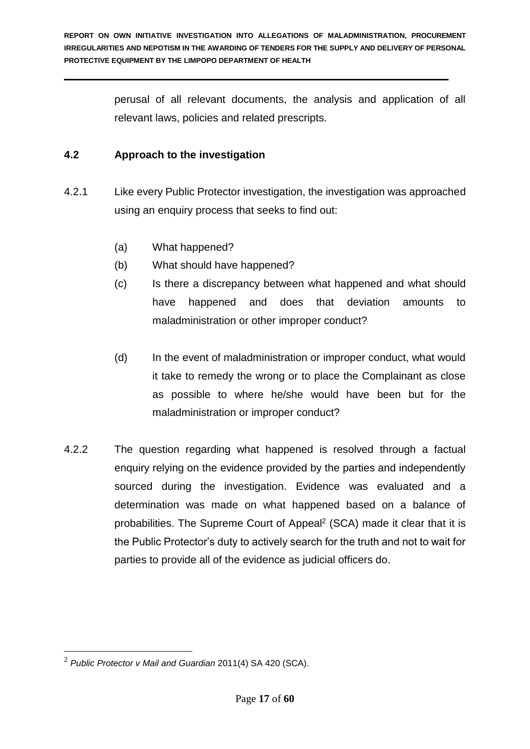perusal of all relevant documents, the analysis and application of all relevant laws, policies and related prescripts.

## **4.2 Approach to the investigation**

- 4.2.1 Like every Public Protector investigation, the investigation was approached using an enquiry process that seeks to find out:
	- (a) What happened?
	- (b) What should have happened?
	- (c) Is there a discrepancy between what happened and what should have happened and does that deviation amounts to maladministration or other improper conduct?
	- (d) In the event of maladministration or improper conduct, what would it take to remedy the wrong or to place the Complainant as close as possible to where he/she would have been but for the maladministration or improper conduct?
- 4.2.2 The question regarding what happened is resolved through a factual enquiry relying on the evidence provided by the parties and independently sourced during the investigation. Evidence was evaluated and a determination was made on what happened based on a balance of probabilities. The Supreme Court of Appeal<sup>2</sup> (SCA) made it clear that it is the Public Protector's duty to actively search for the truth and not to wait for parties to provide all of the evidence as judicial officers do.

1

<sup>2</sup> *Public Protector v Mail and Guardian* 2011(4) SA 420 (SCA).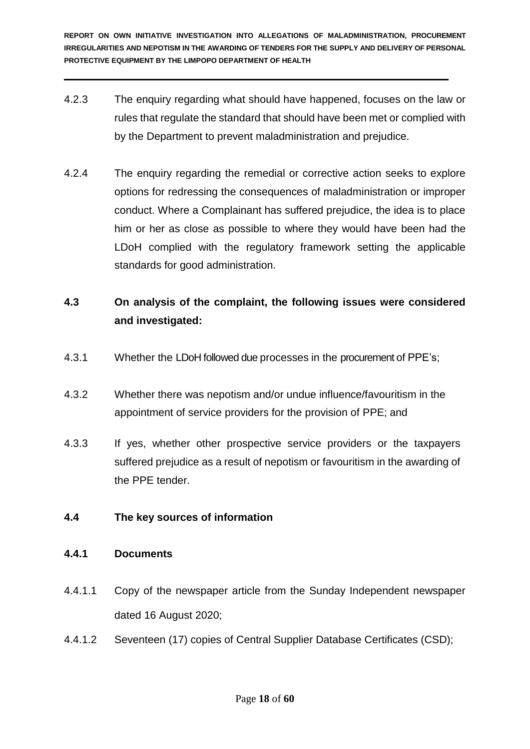- 4.2.3 The enquiry regarding what should have happened, focuses on the law or rules that regulate the standard that should have been met or complied with by the Department to prevent maladministration and prejudice.
- 4.2.4 The enquiry regarding the remedial or corrective action seeks to explore options for redressing the consequences of maladministration or improper conduct. Where a Complainant has suffered prejudice, the idea is to place him or her as close as possible to where they would have been had the LDoH complied with the regulatory framework setting the applicable standards for good administration.

## **4.3 On analysis of the complaint, the following issues were considered and investigated:**

- 4.3.1 Whether the LDoH followed due processes in the procurement of PPE's;
- 4.3.2 Whether there was nepotism and/or undue influence/favouritism in the appointment of service providers for the provision of PPE; and
- 4.3.3 If yes, whether other prospective service providers or the taxpayers suffered prejudice as a result of nepotism or favouritism in the awarding of the PPE tender.

## **4.4 The key sources of information**

## **4.4.1 Documents**

- 4.4.1.1 Copy of the newspaper article from the Sunday Independent newspaper dated 16 August 2020;
- 4.4.1.2 Seventeen (17) copies of Central Supplier Database Certificates (CSD);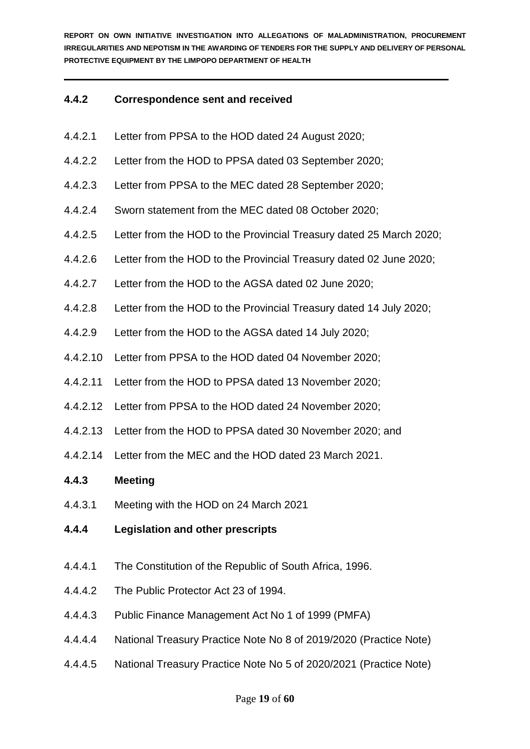#### **4.4.2 Correspondence sent and received**

- 4.4.2.1 Letter from PPSA to the HOD dated 24 August 2020;
- 4.4.2.2 Letter from the HOD to PPSA dated 03 September 2020;
- 4.4.2.3 Letter from PPSA to the MEC dated 28 September 2020;
- 4.4.2.4 Sworn statement from the MEC dated 08 October 2020;
- 4.4.2.5 Letter from the HOD to the Provincial Treasury dated 25 March 2020;
- 4.4.2.6 Letter from the HOD to the Provincial Treasury dated 02 June 2020;
- 4.4.2.7 Letter from the HOD to the AGSA dated 02 June 2020;
- 4.4.2.8 Letter from the HOD to the Provincial Treasury dated 14 July 2020;
- 4.4.2.9 Letter from the HOD to the AGSA dated 14 July 2020;
- 4.4.2.10 Letter from PPSA to the HOD dated 04 November 2020;
- 4.4.2.11 Letter from the HOD to PPSA dated 13 November 2020;
- 4.4.2.12 Letter from PPSA to the HOD dated 24 November 2020;
- 4.4.2.13 Letter from the HOD to PPSA dated 30 November 2020; and
- 4.4.2.14 Letter from the MEC and the HOD dated 23 March 2021.

#### **4.4.3 Meeting**

- 4.4.3.1 Meeting with the HOD on 24 March 2021
- **4.4.4 Legislation and other prescripts**
- 4.4.4.1 The Constitution of the Republic of South Africa, 1996.
- 4.4.4.2 The Public Protector Act 23 of 1994.
- 4.4.4.3 Public Finance Management Act No 1 of 1999 (PMFA)
- 4.4.4.4 National Treasury Practice Note No 8 of 2019/2020 (Practice Note)
- 4.4.4.5 National Treasury Practice Note No 5 of 2020/2021 (Practice Note)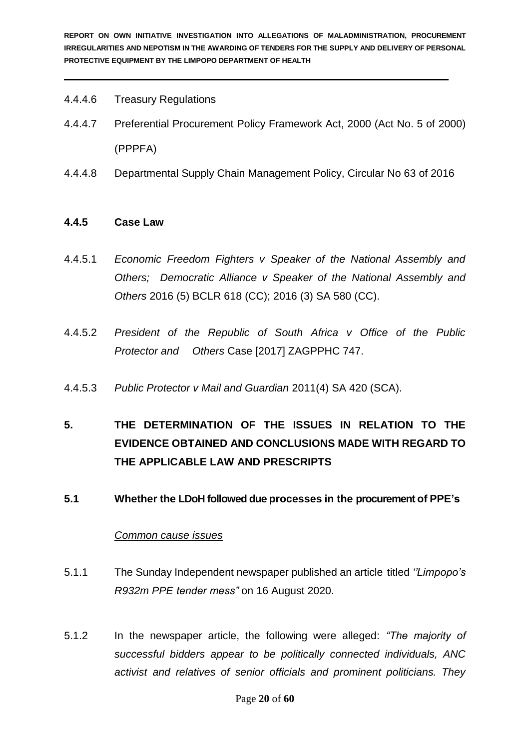- 4.4.4.6 Treasury Regulations
- 4.4.4.7 Preferential Procurement Policy Framework Act, 2000 (Act No. 5 of 2000) (PPPFA)
- 4.4.4.8 Departmental Supply Chain Management Policy, Circular No 63 of 2016

#### **4.4.5 Case Law**

- 4.4.5.1 *Economic Freedom Fighters v Speaker of the National Assembly and Others; Democratic Alliance v Speaker of the National Assembly and Others* 2016 (5) BCLR 618 (CC); 2016 (3) SA 580 (CC).
- 4.4.5.2 *President of the Republic of South Africa v Office of the Public Protector and Others* Case [2017] ZAGPPHC 747.
- 4.4.5.3 *Public Protector v Mail and Guardian* 2011(4) SA 420 (SCA).
- **5. THE DETERMINATION OF THE ISSUES IN RELATION TO THE EVIDENCE OBTAINED AND CONCLUSIONS MADE WITH REGARD TO THE APPLICABLE LAW AND PRESCRIPTS**
- **5.1 Whether the LDoH followed due processes in the procurement of PPE's**

#### *Common cause issues*

- 5.1.1 The Sunday Independent newspaper published an article titled *''Limpopo's R932m PPE tender mess"* on 16 August 2020.
- 5.1.2 In the newspaper article, the following were alleged: *"The majority of successful bidders appear to be politically connected individuals, ANC activist and relatives of senior officials and prominent politicians. They*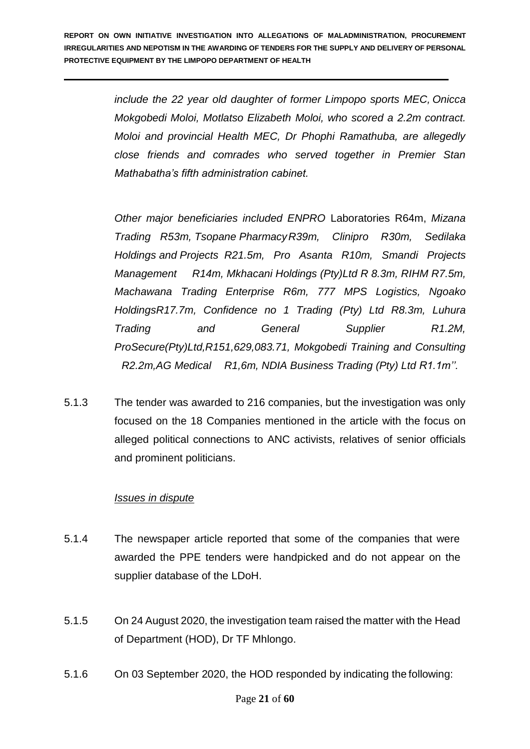*include the 22 year old daughter of former Limpopo sports MEC, Onicca Mokgobedi Moloi, Motlatso Elizabeth Moloi, who scored a 2.2m contract. Moloi and provincial Health MEC, Dr Phophi Ramathuba, are allegedly close friends and comrades who served together in Premier Stan Mathabatha's fifth administration cabinet.*

*Other major beneficiaries included ENPRO* Laboratories R64m, *Mizana Trading R53m, Tsopane PharmacyR39m, Clinipro R30m, Sedilaka Holdings and Projects R21.5m, Pro Asanta R10m, Smandi Projects Management R14m, Mkhacani Holdings (Pty)Ltd R 8.3m, RIHM R7.5m, Machawana Trading Enterprise R6m, 777 MPS Logistics, Ngoako HoldingsR17.7m, Confidence no 1 Trading (Pty) Ltd R8.3m, Luhura Trading and General Supplier R1.2M, ProSecure(Pty)Ltd,R151,629,083.71, Mokgobedi Training and Consulting R2.2m,AG Medical R1,6m, NDIA Business Trading (Pty) Ltd R1.1m''.*

5.1.3 The tender was awarded to 216 companies, but the investigation was only focused on the 18 Companies mentioned in the article with the focus on alleged political connections to ANC activists, relatives of senior officials and prominent politicians.

#### *Issues in dispute*

- 5.1.4 The newspaper article reported that some of the companies that were awarded the PPE tenders were handpicked and do not appear on the supplier database of the LDoH.
- 5.1.5 On 24 August 2020, the investigation team raised the matter with the Head of Department (HOD), Dr TF Mhlongo.
- 5.1.6 On 03 September 2020, the HOD responded by indicating the following: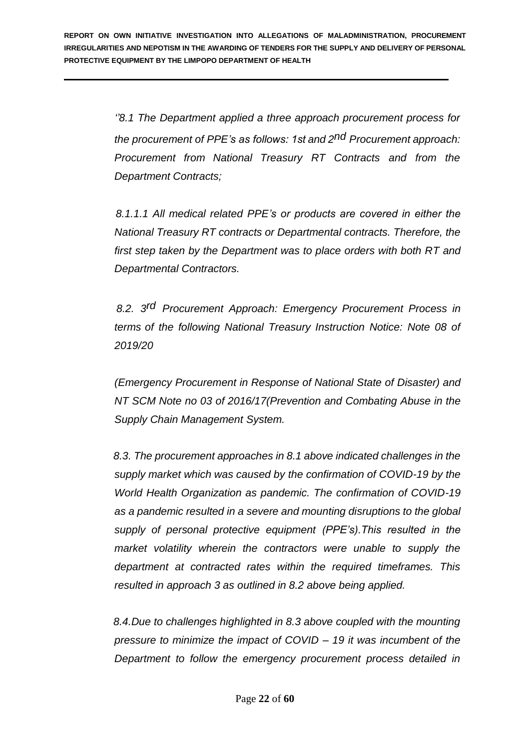*''8.1 The Department applied a three approach procurement process for the procurement of PPE's as follows: 1st and 2 nd Procurement approach: Procurement from National Treasury RT Contracts and from the Department Contracts;*

 *8.1.1.1 All medical related PPE's or products are covered in either the National Treasury RT contracts or Departmental contracts. Therefore, the first step taken by the Department was to place orders with both RT and Departmental Contractors.* 

 *8.2. 3 rd Procurement Approach: Emergency Procurement Process in terms of the following National Treasury Instruction Notice: Note 08 of 2019/20* 

*(Emergency Procurement in Response of National State of Disaster) and NT SCM Note no 03 of 2016/17(Prevention and Combating Abuse in the Supply Chain Management System.*

 *8.3. The procurement approaches in 8.1 above indicated challenges in the supply market which was caused by the confirmation of COVID-19 by the World Health Organization as pandemic. The confirmation of COVID-19 as a pandemic resulted in a severe and mounting disruptions to the global supply of personal protective equipment (PPE's).This resulted in the market volatility wherein the contractors were unable to supply the department at contracted rates within the required timeframes. This resulted in approach 3 as outlined in 8.2 above being applied.*

 *8.4.Due to challenges highlighted in 8.3 above coupled with the mounting pressure to minimize the impact of COVID – 19 it was incumbent of the Department to follow the emergency procurement process detailed in*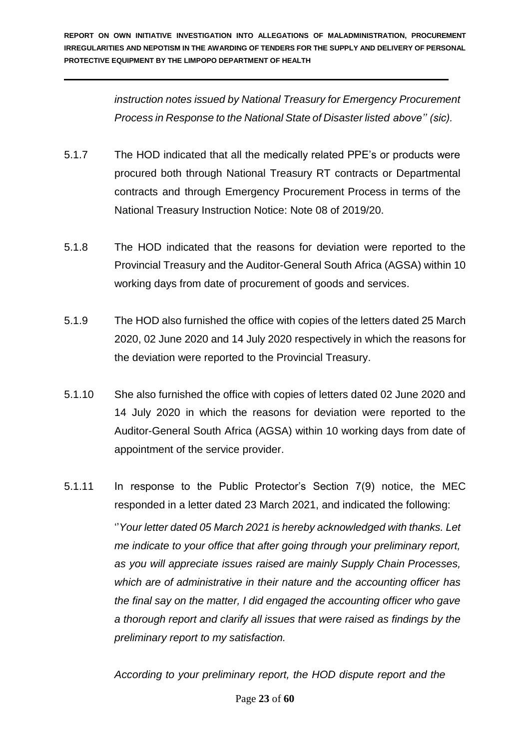*instruction notes issued by National Treasury for Emergency Procurement Process in Response to the National State of Disaster listed above'' (sic).*

- 5.1.7 The HOD indicated that all the medically related PPE's or products were procured both through National Treasury RT contracts or Departmental contracts and through Emergency Procurement Process in terms of the National Treasury Instruction Notice: Note 08 of 2019/20.
- 5.1.8 The HOD indicated that the reasons for deviation were reported to the Provincial Treasury and the Auditor-General South Africa (AGSA) within 10 working days from date of procurement of goods and services.
- 5.1.9 The HOD also furnished the office with copies of the letters dated 25 March 2020, 02 June 2020 and 14 July 2020 respectively in which the reasons for the deviation were reported to the Provincial Treasury.
- 5.1.10 She also furnished the office with copies of letters dated 02 June 2020 and 14 July 2020 in which the reasons for deviation were reported to the Auditor-General South Africa (AGSA) within 10 working days from date of appointment of the service provider.
- 5.1.11 In response to the Public Protector's Section 7(9) notice, the MEC responded in a letter dated 23 March 2021, and indicated the following: ''*Your letter dated 05 March 2021 is hereby acknowledged with thanks. Let me indicate to your office that after going through your preliminary report, as you will appreciate issues raised are mainly Supply Chain Processes, which are of administrative in their nature and the accounting officer has the final say on the matter, I did engaged the accounting officer who gave a thorough report and clarify all issues that were raised as findings by the preliminary report to my satisfaction.*

*According to your preliminary report, the HOD dispute report and the*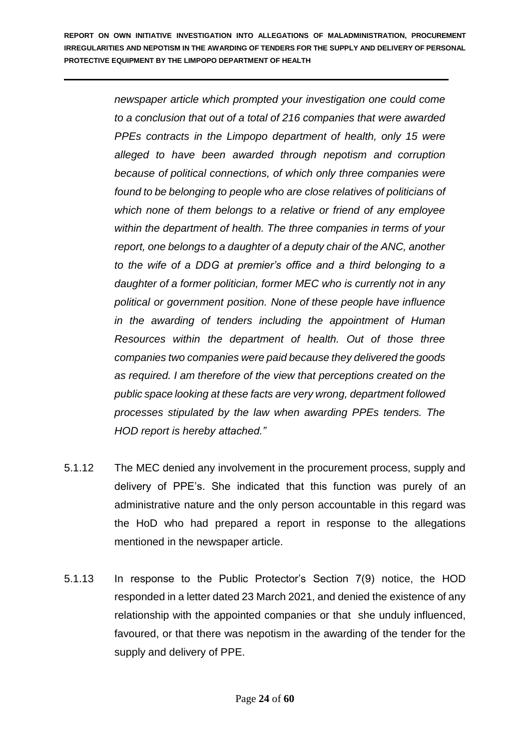> *newspaper article which prompted your investigation one could come to a conclusion that out of a total of 216 companies that were awarded PPEs contracts in the Limpopo department of health, only 15 were alleged to have been awarded through nepotism and corruption because of political connections, of which only three companies were found to be belonging to people who are close relatives of politicians of which none of them belongs to a relative or friend of any employee within the department of health. The three companies in terms of your report, one belongs to a daughter of a deputy chair of the ANC, another to the wife of a DDG at premier's office and a third belonging to a daughter of a former politician, former MEC who is currently not in any political or government position. None of these people have influence in the awarding of tenders including the appointment of Human Resources within the department of health. Out of those three companies two companies were paid because they delivered the goods as required. I am therefore of the view that perceptions created on the public space looking at these facts are very wrong, department followed processes stipulated by the law when awarding PPEs tenders. The HOD report is hereby attached."*

- 5.1.12 The MEC denied any involvement in the procurement process, supply and delivery of PPE's. She indicated that this function was purely of an administrative nature and the only person accountable in this regard was the HoD who had prepared a report in response to the allegations mentioned in the newspaper article.
- 5.1.13 In response to the Public Protector's Section 7(9) notice, the HOD responded in a letter dated 23 March 2021, and denied the existence of any relationship with the appointed companies or that she unduly influenced, favoured, or that there was nepotism in the awarding of the tender for the supply and delivery of PPE.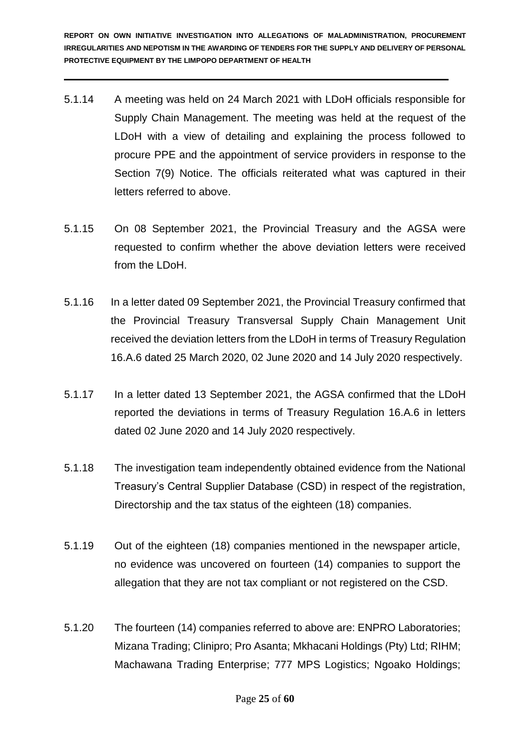- 5.1.14 A meeting was held on 24 March 2021 with LDoH officials responsible for Supply Chain Management. The meeting was held at the request of the LDoH with a view of detailing and explaining the process followed to procure PPE and the appointment of service providers in response to the Section 7(9) Notice. The officials reiterated what was captured in their letters referred to above.
- 5.1.15 On 08 September 2021, the Provincial Treasury and the AGSA were requested to confirm whether the above deviation letters were received from the LDoH.
- 5.1.16 In a letter dated 09 September 2021, the Provincial Treasury confirmed that the Provincial Treasury Transversal Supply Chain Management Unit received the deviation letters from the LDoH in terms of Treasury Regulation 16.A.6 dated 25 March 2020, 02 June 2020 and 14 July 2020 respectively.
- 5.1.17 In a letter dated 13 September 2021, the AGSA confirmed that the LDoH reported the deviations in terms of Treasury Regulation 16.A.6 in letters dated 02 June 2020 and 14 July 2020 respectively.
- 5.1.18 The investigation team independently obtained evidence from the National Treasury's Central Supplier Database (CSD) in respect of the registration, Directorship and the tax status of the eighteen (18) companies.
- 5.1.19 Out of the eighteen (18) companies mentioned in the newspaper article, no evidence was uncovered on fourteen (14) companies to support the allegation that they are not tax compliant or not registered on the CSD.
- 5.1.20 The fourteen (14) companies referred to above are: ENPRO Laboratories; Mizana Trading; Clinipro; Pro Asanta; Mkhacani Holdings (Pty) Ltd; RIHM; Machawana Trading Enterprise; 777 MPS Logistics; Ngoako Holdings;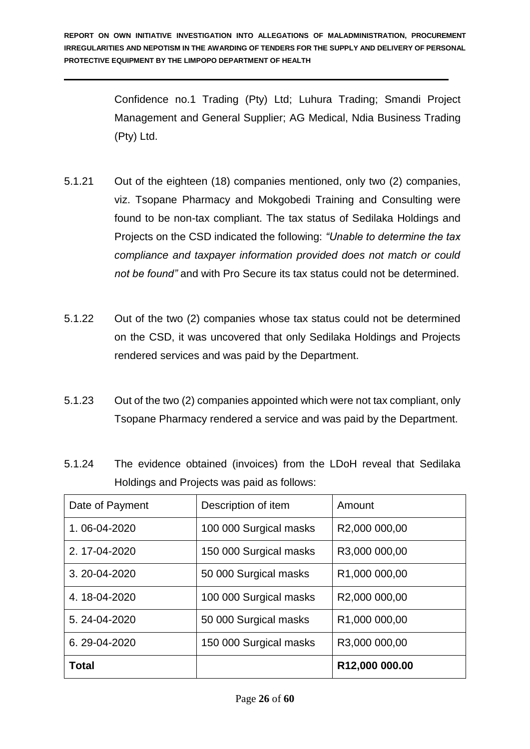Confidence no.1 Trading (Pty) Ltd; Luhura Trading; Smandi Project Management and General Supplier; AG Medical, Ndia Business Trading (Pty) Ltd.

- 5.1.21 Out of the eighteen (18) companies mentioned, only two (2) companies, viz. Tsopane Pharmacy and Mokgobedi Training and Consulting were found to be non-tax compliant. The tax status of Sedilaka Holdings and Projects on the CSD indicated the following: *"Unable to determine the tax compliance and taxpayer information provided does not match or could not be found"* and with Pro Secure its tax status could not be determined.
- 5.1.22 Out of the two (2) companies whose tax status could not be determined on the CSD, it was uncovered that only Sedilaka Holdings and Projects rendered services and was paid by the Department.
- 5.1.23 Out of the two (2) companies appointed which were not tax compliant, only Tsopane Pharmacy rendered a service and was paid by the Department.
- 5.1.24 The evidence obtained (invoices) from the LDoH reveal that Sedilaka Holdings and Projects was paid as follows:

| Date of Payment | Description of item    | Amount                     |
|-----------------|------------------------|----------------------------|
| 1.06-04-2020    | 100 000 Surgical masks | R2,000 000,00              |
| 2.17-04-2020    | 150 000 Surgical masks | R3,000 000,00              |
| 3.20-04-2020    | 50 000 Surgical masks  | R <sub>1</sub> ,000 000,00 |
| 4.18-04-2020    | 100 000 Surgical masks | R2,000 000,00              |
| 5.24-04-2020    | 50 000 Surgical masks  | R <sub>1</sub> ,000 000,00 |
| 6.29-04-2020    | 150 000 Surgical masks | R3,000 000,00              |
| Total           |                        | R12,000 000.00             |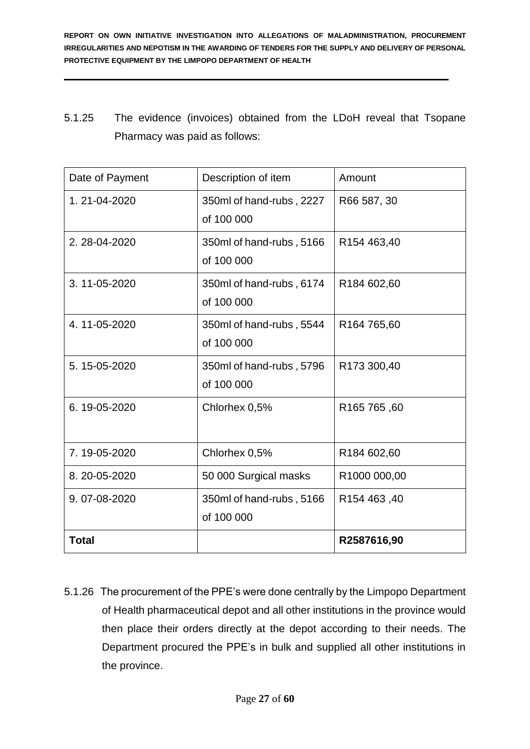5.1.25 The evidence (invoices) obtained from the LDoH reveal that Tsopane Pharmacy was paid as follows:

| Date of Payment | Description of item      | Amount                  |
|-----------------|--------------------------|-------------------------|
| 1.21-04-2020    | 350ml of hand-rubs, 2227 | R66 587, 30             |
|                 | of 100 000               |                         |
| 2.28-04-2020    | 350ml of hand-rubs, 5166 | R154 463,40             |
|                 | of 100 000               |                         |
| 3.11-05-2020    | 350ml of hand-rubs, 6174 | R <sub>184</sub> 602,60 |
|                 | of 100 000               |                         |
| 4.11-05-2020    | 350ml of hand-rubs, 5544 | R <sub>164</sub> 765,60 |
|                 | of 100 000               |                         |
| 5.15-05-2020    | 350ml of hand-rubs, 5796 | R173 300,40             |
|                 | of 100 000               |                         |
| 6.19-05-2020    | Chlorhex 0,5%            | R165 765,60             |
|                 |                          |                         |
| 7.19-05-2020    | Chlorhex 0,5%            | R184 602,60             |
| 8.20-05-2020    | 50 000 Surgical masks    | R1000 000,00            |
| 9.07-08-2020    | 350ml of hand-rubs, 5166 | R <sub>154</sub> 463,40 |
|                 | of 100 000               |                         |
| Total           |                          | R2587616,90             |

5.1.26 The procurement of the PPE's were done centrally by the Limpopo Department of Health pharmaceutical depot and all other institutions in the province would then place their orders directly at the depot according to their needs. The Department procured the PPE's in bulk and supplied all other institutions in the province.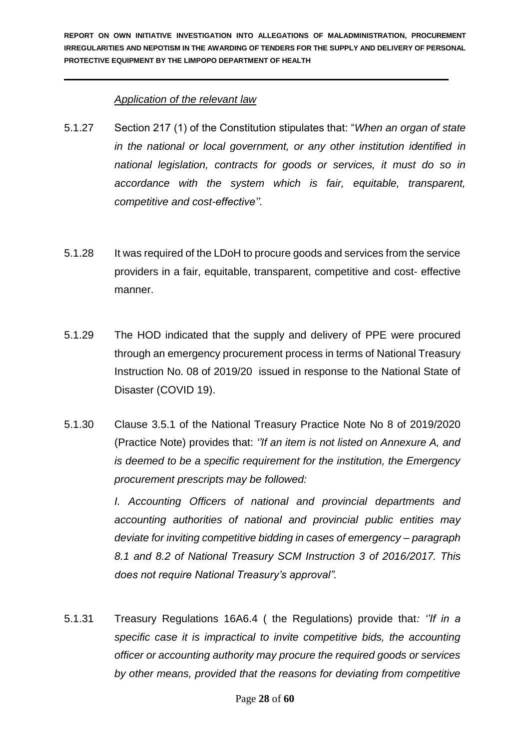### *Application of the relevant law*

- 5.1.27 Section 217 (1) of the Constitution stipulates that: "*When an organ of state in the national or local government, or any other institution identified in national legislation, contracts for goods or services, it must do so in accordance with the system which is fair, equitable, transparent, competitive and cost-effective''.*
- 5.1.28 It was required of the LDoH to procure goods and services from the service providers in a fair, equitable, transparent, competitive and cost- effective manner.
- 5.1.29 The HOD indicated that the supply and delivery of PPE were procured through an emergency procurement process in terms of National Treasury Instruction No. 08 of 2019/20 issued in response to the National State of Disaster (COVID 19).
- 5.1.30 Clause 3.5.1 of the National Treasury Practice Note No 8 of 2019/2020 (Practice Note) provides that: *''If an item is not listed on Annexure A, and is deemed to be a specific requirement for the institution, the Emergency procurement prescripts may be followed:*

*I. Accounting Officers of national and provincial departments and accounting authorities of national and provincial public entities may deviate for inviting competitive bidding in cases of emergency – paragraph 8.1 and 8.2 of National Treasury SCM Instruction 3 of 2016/2017. This does not require National Treasury's approval".* 

5.1.31 Treasury Regulations 16A6.4 ( the Regulations) provide that*: ''If in a specific case it is impractical to invite competitive bids, the accounting officer or accounting authority may procure the required goods or services by other means, provided that the reasons for deviating from competitive*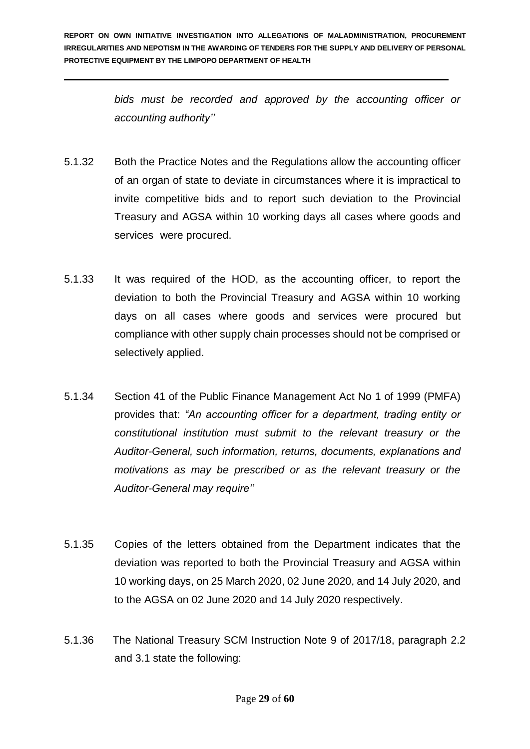> *bids must be recorded and approved by the accounting officer or accounting authority''*

- 5.1.32 Both the Practice Notes and the Regulations allow the accounting officer of an organ of state to deviate in circumstances where it is impractical to invite competitive bids and to report such deviation to the Provincial Treasury and AGSA within 10 working days all cases where goods and services were procured.
- 5.1.33 It was required of the HOD, as the accounting officer, to report the deviation to both the Provincial Treasury and AGSA within 10 working days on all cases where goods and services were procured but compliance with other supply chain processes should not be comprised or selectively applied.
- 5.1.34 Section 41 of the Public Finance Management Act No 1 of 1999 (PMFA) provides that: *"An accounting officer for a department, trading entity or constitutional institution must submit to the relevant treasury or the Auditor-General, such information, returns, documents, explanations and motivations as may be prescribed or as the relevant treasury or the Auditor-General may require''*
- 5.1.35 Copies of the letters obtained from the Department indicates that the deviation was reported to both the Provincial Treasury and AGSA within 10 working days, on 25 March 2020, 02 June 2020, and 14 July 2020, and to the AGSA on 02 June 2020 and 14 July 2020 respectively.
- 5.1.36 The National Treasury SCM Instruction Note 9 of 2017/18, paragraph 2.2 and 3.1 state the following: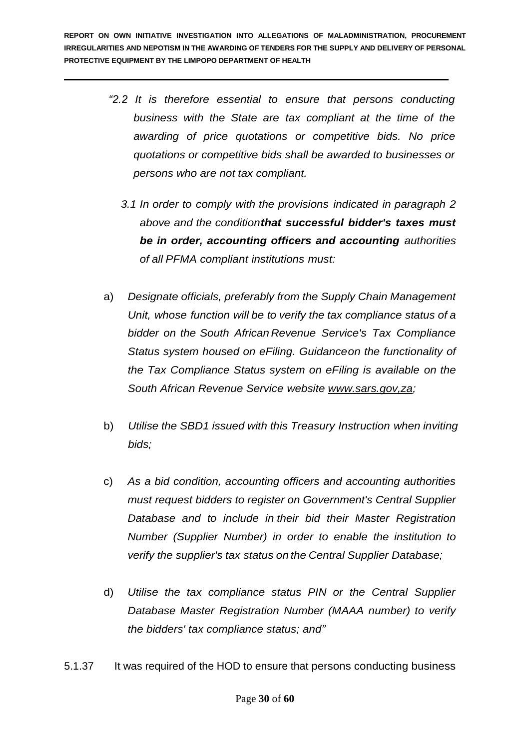- *"2.2 It is therefore essential to ensure that persons conducting business with the State are tax compliant at the time of the awarding of price quotations or competitive bids. No price quotations or competitive bids shall be awarded to businesses or persons who are not tax compliant.*
	- *3.1 In order to comply with the provisions indicated in paragraph 2 above and the conditionthat successful bidder's taxes must be in order, accounting officers and accounting authorities of all PFMA compliant institutions must:*
- a) *Designate officials, preferably from the Supply Chain Management Unit, whose function will be to verify the tax compliance status of a bidder on the South African Revenue Service's Tax Compliance Status system housed on eFiling. Guidanceon the functionality of the Tax Compliance Status system on eFiling is available on the South African Revenue Service website www.sars.gov,za;*
- b) *Utilise the SBD1 issued with this Treasury Instruction when inviting bids;*
- c) *As a bid condition, accounting officers and accounting authorities must request bidders to register on Government's Central Supplier Database and to include in their bid their Master Registration Number (Supplier Number) in order to enable the institution to verify the supplier's tax status on the Central Supplier Database;*
- d) *Utilise the tax compliance status PIN or the Central Supplier Database Master Registration Number (MAAA number) to verify the bidders' tax compliance status; and"*

5.1.37 It was required of the HOD to ensure that persons conducting business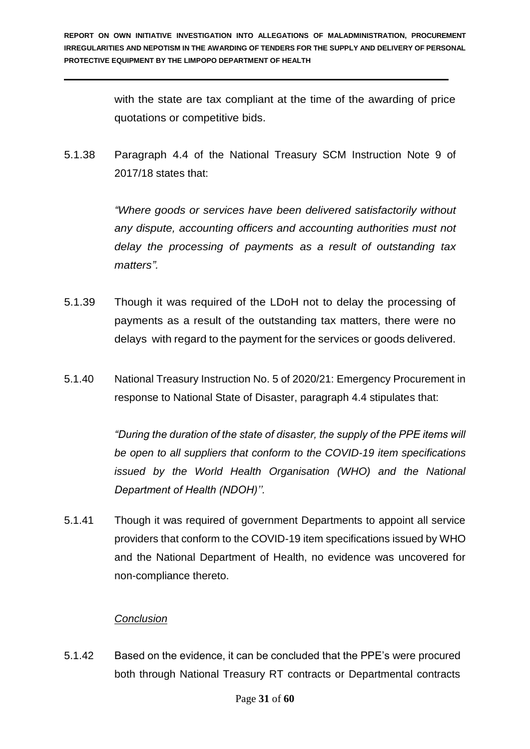with the state are tax compliant at the time of the awarding of price quotations or competitive bids.

5.1.38 Paragraph 4.4 of the National Treasury SCM Instruction Note 9 of 2017/18 states that:

> *"Where goods or services have been delivered satisfactorily without any dispute, accounting officers and accounting authorities must not delay the processing of payments as a result of outstanding tax matters".*

- 5.1.39 Though it was required of the LDoH not to delay the processing of payments as a result of the outstanding tax matters, there were no delays with regard to the payment for the services or goods delivered.
- 5.1.40 National Treasury Instruction No. 5 of 2020/21: Emergency Procurement in response to National State of Disaster, paragraph 4.4 stipulates that:

*"During the duration of the state of disaster, the supply of the PPE items will be open to all suppliers that conform to the COVID-19 item specifications issued by the World Health Organisation (WHO) and the National Department of Health (NDOH)''.*

5.1.41 Though it was required of government Departments to appoint all service providers that conform to the COVID-19 item specifications issued by WHO and the National Department of Health, no evidence was uncovered for non-compliance thereto.

## *Conclusion*

5.1.42 Based on the evidence, it can be concluded that the PPE's were procured both through National Treasury RT contracts or Departmental contracts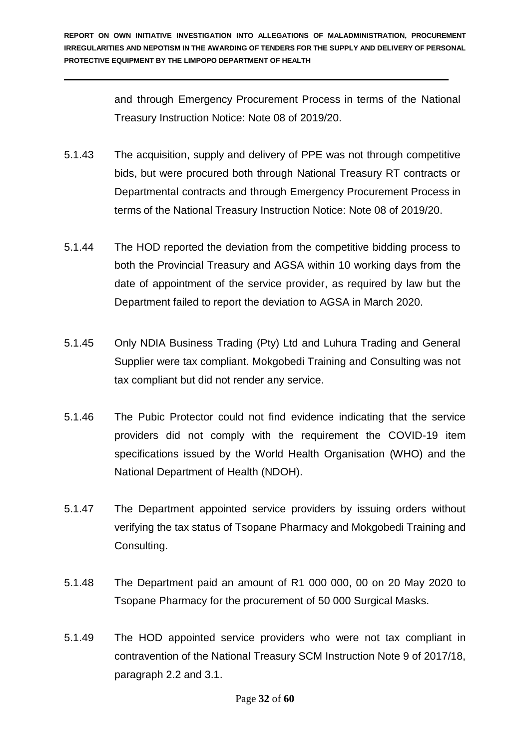and through Emergency Procurement Process in terms of the National Treasury Instruction Notice: Note 08 of 2019/20.

- 5.1.43 The acquisition, supply and delivery of PPE was not through competitive bids, but were procured both through National Treasury RT contracts or Departmental contracts and through Emergency Procurement Process in terms of the National Treasury Instruction Notice: Note 08 of 2019/20.
- 5.1.44 The HOD reported the deviation from the competitive bidding process to both the Provincial Treasury and AGSA within 10 working days from the date of appointment of the service provider, as required by law but the Department failed to report the deviation to AGSA in March 2020.
- 5.1.45 Only NDIA Business Trading (Pty) Ltd and Luhura Trading and General Supplier were tax compliant. Mokgobedi Training and Consulting was not tax compliant but did not render any service.
- 5.1.46 The Pubic Protector could not find evidence indicating that the service providers did not comply with the requirement the COVID-19 item specifications issued by the World Health Organisation (WHO) and the National Department of Health (NDOH).
- 5.1.47 The Department appointed service providers by issuing orders without verifying the tax status of Tsopane Pharmacy and Mokgobedi Training and Consulting.
- 5.1.48 The Department paid an amount of R1 000 000, 00 on 20 May 2020 to Tsopane Pharmacy for the procurement of 50 000 Surgical Masks.
- 5.1.49 The HOD appointed service providers who were not tax compliant in contravention of the National Treasury SCM Instruction Note 9 of 2017/18, paragraph 2.2 and 3.1.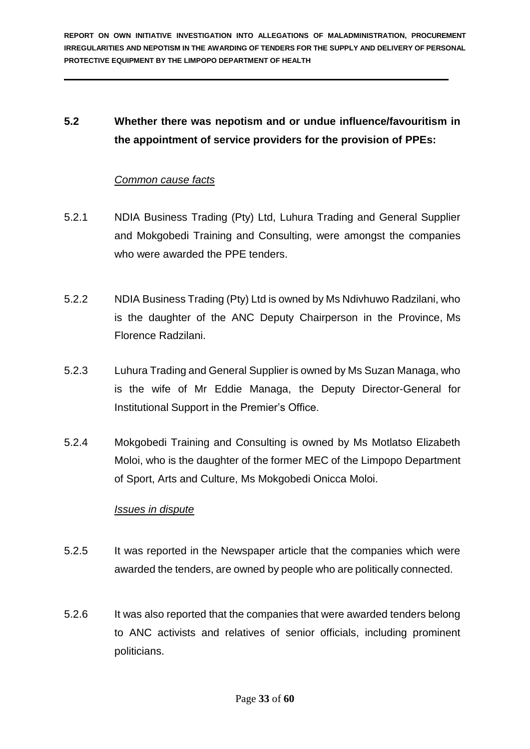## **5.2 Whether there was nepotism and or undue influence/favouritism in the appointment of service providers for the provision of PPEs:**

#### *Common cause facts*

- 5.2.1 NDIA Business Trading (Pty) Ltd, Luhura Trading and General Supplier and Mokgobedi Training and Consulting, were amongst the companies who were awarded the PPE tenders.
- 5.2.2 NDIA Business Trading (Pty) Ltd is owned by Ms Ndivhuwo Radzilani, who is the daughter of the ANC Deputy Chairperson in the Province, Ms Florence Radzilani.
- 5.2.3 Luhura Trading and General Supplier is owned by Ms Suzan Managa, who is the wife of Mr Eddie Managa, the Deputy Director-General for Institutional Support in the Premier's Office.
- 5.2.4 Mokgobedi Training and Consulting is owned by Ms Motlatso Elizabeth Moloi, who is the daughter of the former MEC of the Limpopo Department of Sport, Arts and Culture, Ms Mokgobedi Onicca Moloi.

#### *Issues in dispute*

- 5.2.5 It was reported in the Newspaper article that the companies which were awarded the tenders, are owned by people who are politically connected.
- 5.2.6 It was also reported that the companies that were awarded tenders belong to ANC activists and relatives of senior officials, including prominent politicians.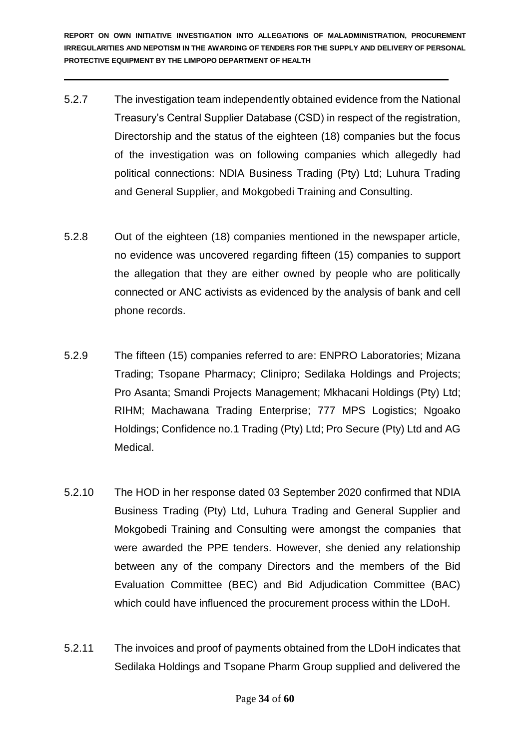- 5.2.7 The investigation team independently obtained evidence from the National Treasury's Central Supplier Database (CSD) in respect of the registration, Directorship and the status of the eighteen (18) companies but the focus of the investigation was on following companies which allegedly had political connections: NDIA Business Trading (Pty) Ltd; Luhura Trading and General Supplier, and Mokgobedi Training and Consulting.
- 5.2.8 Out of the eighteen (18) companies mentioned in the newspaper article, no evidence was uncovered regarding fifteen (15) companies to support the allegation that they are either owned by people who are politically connected or ANC activists as evidenced by the analysis of bank and cell phone records.
- 5.2.9 The fifteen (15) companies referred to are: ENPRO Laboratories; Mizana Trading; Tsopane Pharmacy; Clinipro; Sedilaka Holdings and Projects; Pro Asanta; Smandi Projects Management; Mkhacani Holdings (Pty) Ltd; RIHM; Machawana Trading Enterprise; 777 MPS Logistics; Ngoako Holdings; Confidence no.1 Trading (Pty) Ltd; Pro Secure (Pty) Ltd and AG Medical.
- 5.2.10 The HOD in her response dated 03 September 2020 confirmed that NDIA Business Trading (Pty) Ltd, Luhura Trading and General Supplier and Mokgobedi Training and Consulting were amongst the companies that were awarded the PPE tenders. However, she denied any relationship between any of the company Directors and the members of the Bid Evaluation Committee (BEC) and Bid Adjudication Committee (BAC) which could have influenced the procurement process within the LDoH.
- 5.2.11 The invoices and proof of payments obtained from the LDoH indicates that Sedilaka Holdings and Tsopane Pharm Group supplied and delivered the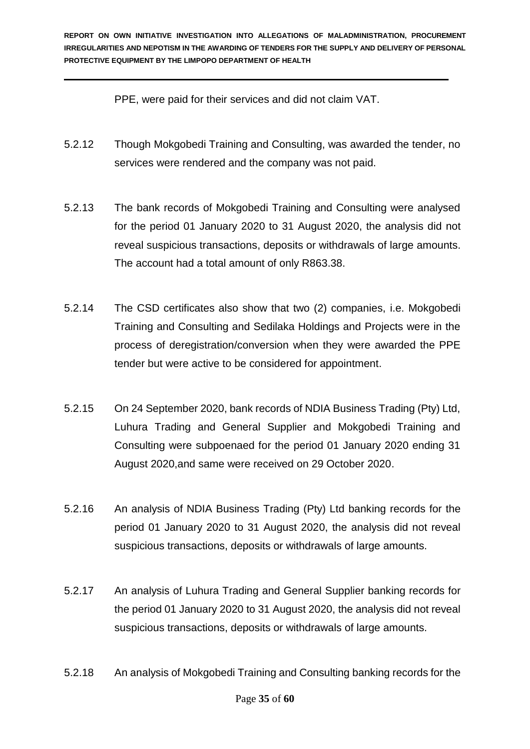PPE, were paid for their services and did not claim VAT.

- 5.2.12 Though Mokgobedi Training and Consulting, was awarded the tender, no services were rendered and the company was not paid.
- 5.2.13 The bank records of Mokgobedi Training and Consulting were analysed for the period 01 January 2020 to 31 August 2020, the analysis did not reveal suspicious transactions, deposits or withdrawals of large amounts. The account had a total amount of only R863.38.
- 5.2.14 The CSD certificates also show that two (2) companies, i.e. Mokgobedi Training and Consulting and Sedilaka Holdings and Projects were in the process of deregistration/conversion when they were awarded the PPE tender but were active to be considered for appointment.
- 5.2.15 On 24 September 2020, bank records of NDIA Business Trading (Pty) Ltd, Luhura Trading and General Supplier and Mokgobedi Training and Consulting were subpoenaed for the period 01 January 2020 ending 31 August 2020,and same were received on 29 October 2020.
- 5.2.16 An analysis of NDIA Business Trading (Pty) Ltd banking records for the period 01 January 2020 to 31 August 2020, the analysis did not reveal suspicious transactions, deposits or withdrawals of large amounts.
- 5.2.17 An analysis of Luhura Trading and General Supplier banking records for the period 01 January 2020 to 31 August 2020, the analysis did not reveal suspicious transactions, deposits or withdrawals of large amounts.
- 5.2.18 An analysis of Mokgobedi Training and Consulting banking records for the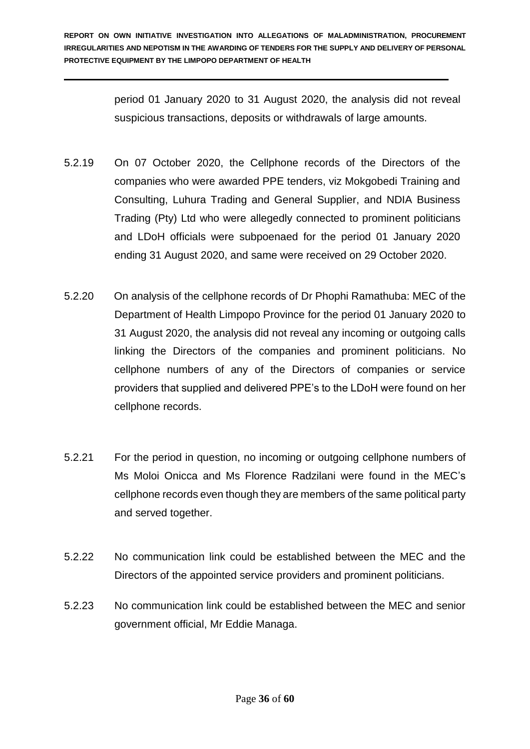period 01 January 2020 to 31 August 2020, the analysis did not reveal suspicious transactions, deposits or withdrawals of large amounts.

- 5.2.19 On 07 October 2020, the Cellphone records of the Directors of the companies who were awarded PPE tenders, viz Mokgobedi Training and Consulting, Luhura Trading and General Supplier, and NDIA Business Trading (Pty) Ltd who were allegedly connected to prominent politicians and LDoH officials were subpoenaed for the period 01 January 2020 ending 31 August 2020, and same were received on 29 October 2020.
- 5.2.20 On analysis of the cellphone records of Dr Phophi Ramathuba: MEC of the Department of Health Limpopo Province for the period 01 January 2020 to 31 August 2020, the analysis did not reveal any incoming or outgoing calls linking the Directors of the companies and prominent politicians. No cellphone numbers of any of the Directors of companies or service providers that supplied and delivered PPE's to the LDoH were found on her cellphone records.
- 5.2.21 For the period in question, no incoming or outgoing cellphone numbers of Ms Moloi Onicca and Ms Florence Radzilani were found in the MEC's cellphone records even though they are members of the same political party and served together.
- 5.2.22 No communication link could be established between the MEC and the Directors of the appointed service providers and prominent politicians.
- 5.2.23 No communication link could be established between the MEC and senior government official, Mr Eddie Managa.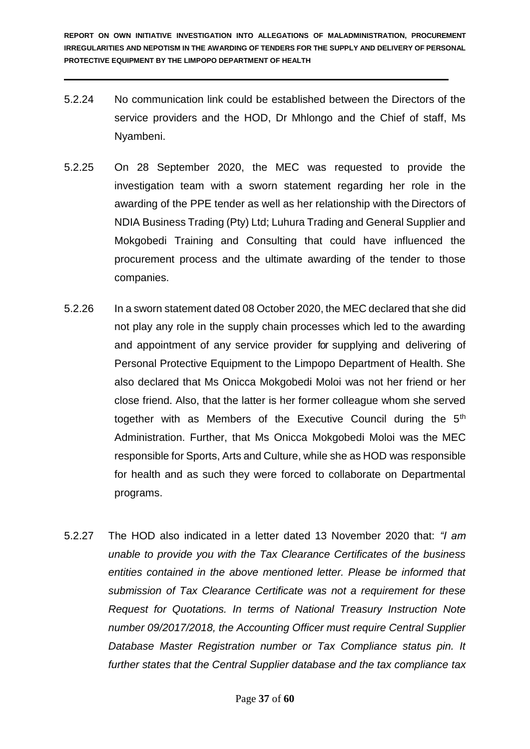- 5.2.24 No communication link could be established between the Directors of the service providers and the HOD, Dr Mhlongo and the Chief of staff, Ms Nyambeni.
- 5.2.25 On 28 September 2020, the MEC was requested to provide the investigation team with a sworn statement regarding her role in the awarding of the PPE tender as well as her relationship with the Directors of NDIA Business Trading (Pty) Ltd; Luhura Trading and General Supplier and Mokgobedi Training and Consulting that could have influenced the procurement process and the ultimate awarding of the tender to those companies.
- 5.2.26 In a sworn statement dated 08 October 2020, the MEC declared that she did not play any role in the supply chain processes which led to the awarding and appointment of any service provider for supplying and delivering of Personal Protective Equipment to the Limpopo Department of Health. She also declared that Ms Onicca Mokgobedi Moloi was not her friend or her close friend. Also, that the latter is her former colleague whom she served together with as Members of the Executive Council during the 5th Administration. Further, that Ms Onicca Mokgobedi Moloi was the MEC responsible for Sports, Arts and Culture, while she as HOD was responsible for health and as such they were forced to collaborate on Departmental programs.
- 5.2.27 The HOD also indicated in a letter dated 13 November 2020 that: *"I am unable to provide you with the Tax Clearance Certificates of the business entities contained in the above mentioned letter. Please be informed that submission of Tax Clearance Certificate was not a requirement for these Request for Quotations. In terms of National Treasury Instruction Note number 09/2017/2018, the Accounting Officer must require Central Supplier Database Master Registration number or Tax Compliance status pin. It further states that the Central Supplier database and the tax compliance tax*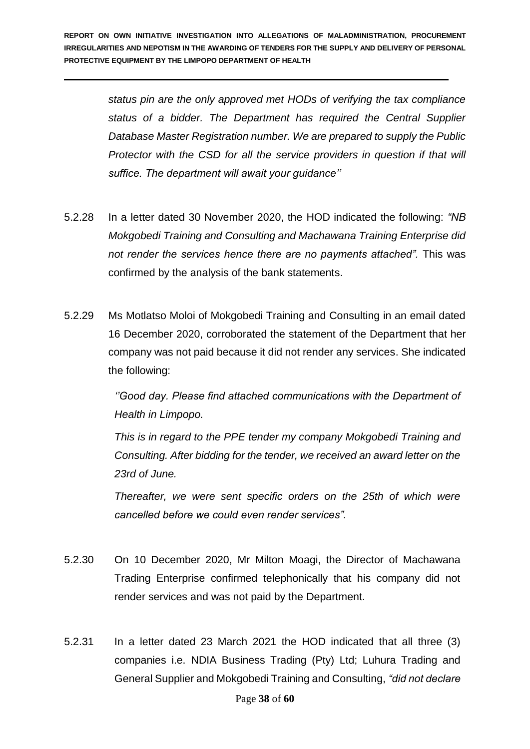*status pin are the only approved met HODs of verifying the tax compliance status of a bidder. The Department has required the Central Supplier Database Master Registration number. We are prepared to supply the Public Protector with the CSD for all the service providers in question if that will suffice. The department will await your guidance''*

- 5.2.28 In a letter dated 30 November 2020, the HOD indicated the following: *"NB Mokgobedi Training and Consulting and Machawana Training Enterprise did not render the services hence there are no payments attached".* This was confirmed by the analysis of the bank statements.
- 5.2.29 Ms Motlatso Moloi of Mokgobedi Training and Consulting in an email dated 16 December 2020, corroborated the statement of the Department that her company was not paid because it did not render any services. She indicated the following:

*''Good day. Please find attached communications with the Department of Health in Limpopo.* 

*This is in regard to the PPE tender my company Mokgobedi Training and Consulting. After bidding for the tender, we received an award letter on the 23rd of June.* 

*Thereafter, we were sent specific orders on the 25th of which were cancelled before we could even render services".*

- 5.2.30 On 10 December 2020, Mr Milton Moagi, the Director of Machawana Trading Enterprise confirmed telephonically that his company did not render services and was not paid by the Department.
- 5.2.31 In a letter dated 23 March 2021 the HOD indicated that all three (3) companies i.e. NDIA Business Trading (Pty) Ltd; Luhura Trading and General Supplier and Mokgobedi Training and Consulting, *"did not declare*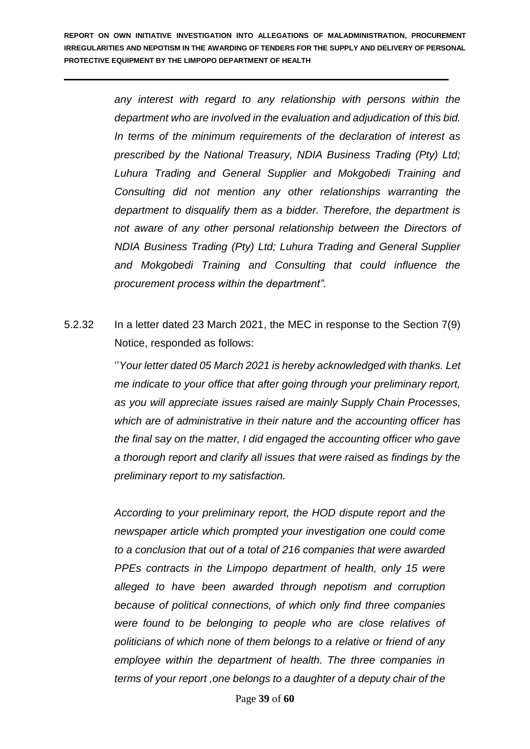*any interest with regard to any relationship with persons within the department who are involved in the evaluation and adjudication of this bid. In terms of the minimum requirements of the declaration of interest as prescribed by the National Treasury, NDIA Business Trading (Pty) Ltd; Luhura Trading and General Supplier and Mokgobedi Training and Consulting did not mention any other relationships warranting the department to disqualify them as a bidder. Therefore, the department is not aware of any other personal relationship between the Directors of NDIA Business Trading (Pty) Ltd; Luhura Trading and General Supplier and Mokgobedi Training and Consulting that could influence the procurement process within the department".*

5.2.32 In a letter dated 23 March 2021, the MEC in response to the Section 7(9) Notice, responded as follows:

> ''*Your letter dated 05 March 2021 is hereby acknowledged with thanks. Let me indicate to your office that after going through your preliminary report, as you will appreciate issues raised are mainly Supply Chain Processes, which are of administrative in their nature and the accounting officer has the final say on the matter, I did engaged the accounting officer who gave a thorough report and clarify all issues that were raised as findings by the preliminary report to my satisfaction.*

*According to your preliminary report, the HOD dispute report and the newspaper article which prompted your investigation one could come to a conclusion that out of a total of 216 companies that were awarded PPEs contracts in the Limpopo department of health, only 15 were alleged to have been awarded through nepotism and corruption because of political connections, of which only find three companies were found to be belonging to people who are close relatives of politicians of which none of them belongs to a relative or friend of any employee within the department of health. The three companies in terms of your report ,one belongs to a daughter of a deputy chair of the*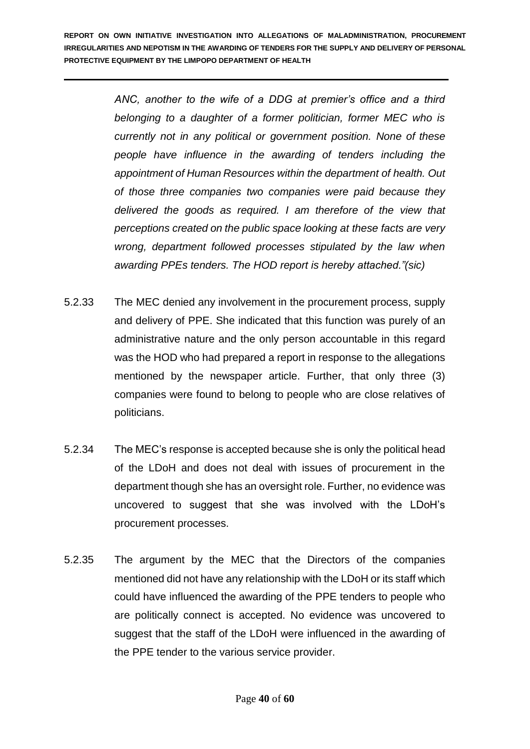> *ANC, another to the wife of a DDG at premier's office and a third belonging to a daughter of a former politician, former MEC who is currently not in any political or government position. None of these people have influence in the awarding of tenders including the appointment of Human Resources within the department of health. Out of those three companies two companies were paid because they delivered the goods as required. I am therefore of the view that perceptions created on the public space looking at these facts are very wrong, department followed processes stipulated by the law when awarding PPEs tenders. The HOD report is hereby attached."(sic)*

- 5.2.33 The MEC denied any involvement in the procurement process, supply and delivery of PPE. She indicated that this function was purely of an administrative nature and the only person accountable in this regard was the HOD who had prepared a report in response to the allegations mentioned by the newspaper article. Further, that only three (3) companies were found to belong to people who are close relatives of politicians.
- 5.2.34 The MEC's response is accepted because she is only the political head of the LDoH and does not deal with issues of procurement in the department though she has an oversight role. Further, no evidence was uncovered to suggest that she was involved with the LDoH's procurement processes.
- 5.2.35 The argument by the MEC that the Directors of the companies mentioned did not have any relationship with the LDoH or its staff which could have influenced the awarding of the PPE tenders to people who are politically connect is accepted. No evidence was uncovered to suggest that the staff of the LDoH were influenced in the awarding of the PPE tender to the various service provider.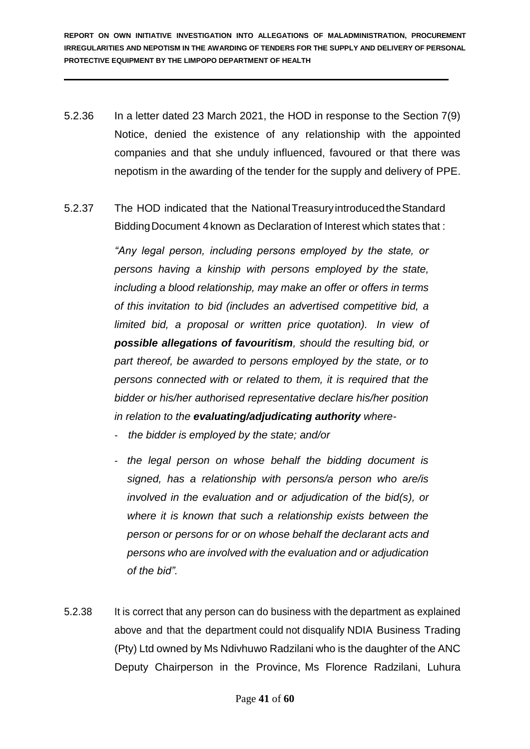- 5.2.36 In a letter dated 23 March 2021, the HOD in response to the Section 7(9) Notice, denied the existence of any relationship with the appointed companies and that she unduly influenced, favoured or that there was nepotism in the awarding of the tender for the supply and delivery of PPE.
- 5.2.37 The HOD indicated that the NationalTreasuryintroducedtheStandard Bidding Document 4 known as Declaration of Interest which states that:

*"Any legal person, including persons employed by the state, or persons having a kinship with persons employed by the state, including a blood relationship, may make an offer or offers in terms of this invitation to bid (includes an advertised competitive bid, a limited bid, a proposal or written price quotation). In view of possible allegations of favouritism, should the resulting bid, or part thereof, be awarded to persons employed by the state, or to persons connected with or related to them, it is required that the bidder or his/her authorised representative declare his/her position in relation to the evaluating/adjudicating authority where-*

- *- the bidder is employed by the state; and/or*
- *- the legal person on whose behalf the bidding document is signed, has a relationship with persons/a person who are/is involved in the evaluation and or adjudication of the bid(s), or where it is known that such a relationship exists between the person or persons for or on whose behalf the declarant acts and persons who are involved with the evaluation and or adjudication of the bid".*
- 5.2.38 It is correct that any person can do business with the department as explained above and that the department could not disqualify NDIA Business Trading (Pty) Ltd owned by Ms Ndivhuwo Radzilani who is the daughter of the ANC Deputy Chairperson in the Province, Ms Florence Radzilani, Luhura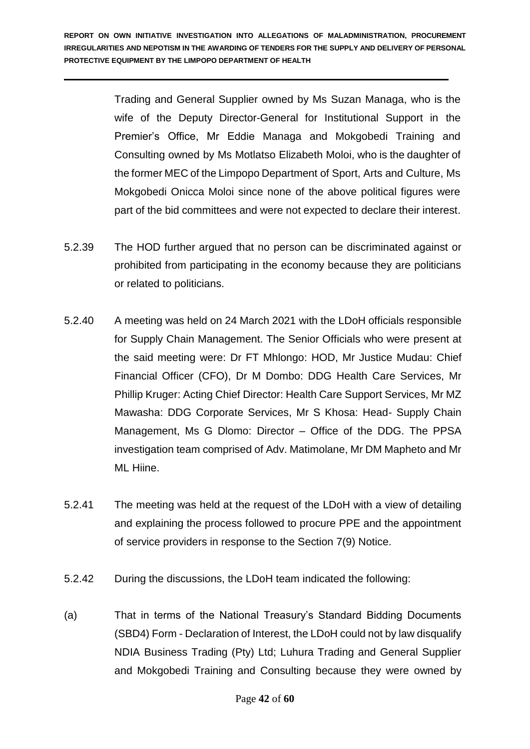Trading and General Supplier owned by Ms Suzan Managa, who is the wife of the Deputy Director-General for Institutional Support in the Premier's Office, Mr Eddie Managa and Mokgobedi Training and Consulting owned by Ms Motlatso Elizabeth Moloi, who is the daughter of the former MEC of the Limpopo Department of Sport, Arts and Culture, Ms Mokgobedi Onicca Moloi since none of the above political figures were part of the bid committees and were not expected to declare their interest.

- 5.2.39 The HOD further argued that no person can be discriminated against or prohibited from participating in the economy because they are politicians or related to politicians.
- 5.2.40 A meeting was held on 24 March 2021 with the LDoH officials responsible for Supply Chain Management. The Senior Officials who were present at the said meeting were: Dr FT Mhlongo: HOD, Mr Justice Mudau: Chief Financial Officer (CFO), Dr M Dombo: DDG Health Care Services, Mr Phillip Kruger: Acting Chief Director: Health Care Support Services, Mr MZ Mawasha: DDG Corporate Services, Mr S Khosa: Head- Supply Chain Management, Ms G Dlomo: Director – Office of the DDG. The PPSA investigation team comprised of Adv. Matimolane, Mr DM Mapheto and Mr ML Hiine.
- 5.2.41 The meeting was held at the request of the LDoH with a view of detailing and explaining the process followed to procure PPE and the appointment of service providers in response to the Section 7(9) Notice.
- 5.2.42 During the discussions, the LDoH team indicated the following:
- (a) That in terms of the National Treasury's Standard Bidding Documents (SBD4) Form - Declaration of Interest, the LDoH could not by law disqualify NDIA Business Trading (Pty) Ltd; Luhura Trading and General Supplier and Mokgobedi Training and Consulting because they were owned by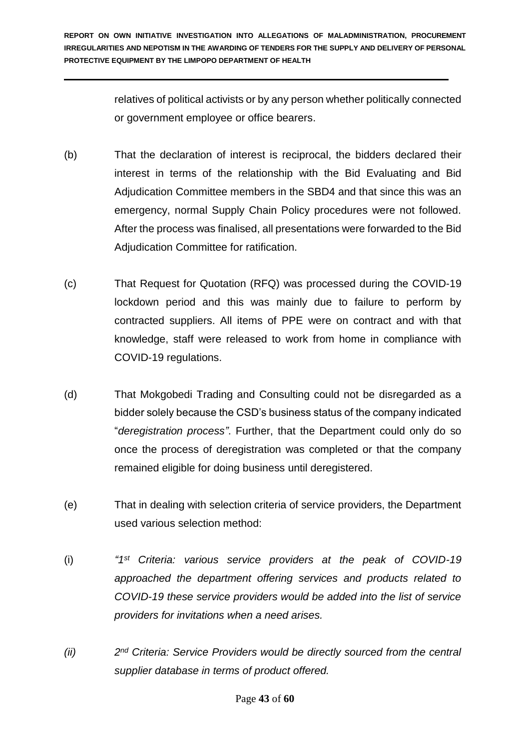relatives of political activists or by any person whether politically connected or government employee or office bearers.

- (b) That the declaration of interest is reciprocal, the bidders declared their interest in terms of the relationship with the Bid Evaluating and Bid Adjudication Committee members in the SBD4 and that since this was an emergency, normal Supply Chain Policy procedures were not followed. After the process was finalised, all presentations were forwarded to the Bid Adjudication Committee for ratification.
- (c) That Request for Quotation (RFQ) was processed during the COVID-19 lockdown period and this was mainly due to failure to perform by contracted suppliers. All items of PPE were on contract and with that knowledge, staff were released to work from home in compliance with COVID-19 regulations.
- (d) That Mokgobedi Trading and Consulting could not be disregarded as a bidder solely because the CSD's business status of the company indicated "*deregistration process"*. Further, that the Department could only do so once the process of deregistration was completed or that the company remained eligible for doing business until deregistered.
- (e) That in dealing with selection criteria of service providers, the Department used various selection method:
- $(i)$ *st Criteria: various service providers at the peak of COVID-19 approached the department offering services and products related to COVID-19 these service providers would be added into the list of service providers for invitations when a need arises.*
- *(ii) 2 nd Criteria: Service Providers would be directly sourced from the central supplier database in terms of product offered.*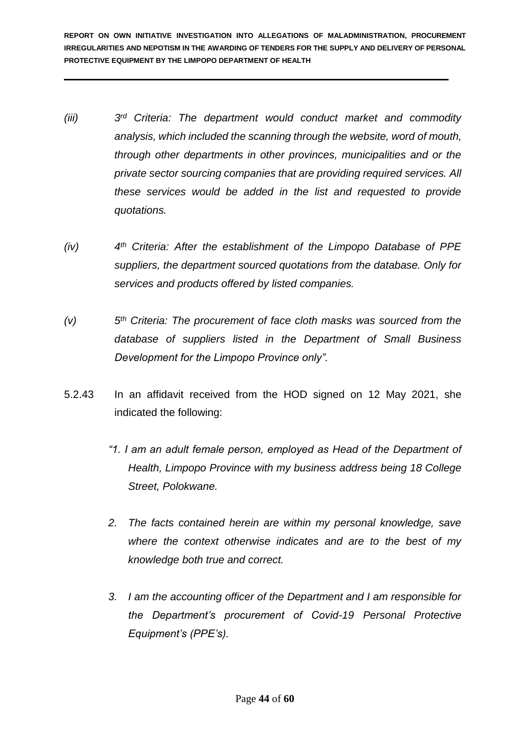- *(iii) 3*  $3<sup>rd</sup>$  *Criteria: The department would conduct market and commodity analysis, which included the scanning through the website, word of mouth, through other departments in other provinces, municipalities and or the private sector sourcing companies that are providing required services. All these services would be added in the list and requested to provide quotations.*
- *(iv) 4 th Criteria: After the establishment of the Limpopo Database of PPE suppliers, the department sourced quotations from the database. Only for services and products offered by listed companies.*
- $(V)$ *th Criteria: The procurement of face cloth masks was sourced from the database of suppliers listed in the Department of Small Business Development for the Limpopo Province only".*
- 5.2.43 In an affidavit received from the HOD signed on 12 May 2021, she indicated the following:
	- *"1. I am an adult female person, employed as Head of the Department of Health, Limpopo Province with my business address being 18 College Street, Polokwane.*
	- *2. The facts contained herein are within my personal knowledge, save where the context otherwise indicates and are to the best of my knowledge both true and correct.*
	- *3. I am the accounting officer of the Department and I am responsible for the Department's procurement of Covid-19 Personal Protective Equipment's (PPE's).*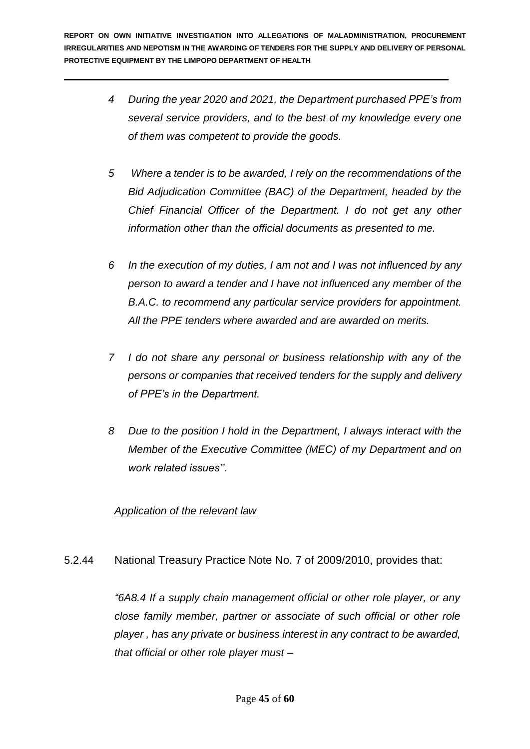- *4 During the year 2020 and 2021, the Department purchased PPE's from several service providers, and to the best of my knowledge every one of them was competent to provide the goods.*
- *5 Where a tender is to be awarded, I rely on the recommendations of the Bid Adjudication Committee (BAC) of the Department, headed by the Chief Financial Officer of the Department. I do not get any other information other than the official documents as presented to me.*
- *6 In the execution of my duties, I am not and I was not influenced by any person to award a tender and I have not influenced any member of the B.A.C. to recommend any particular service providers for appointment. All the PPE tenders where awarded and are awarded on merits.*
- *7 I do not share any personal or business relationship with any of the persons or companies that received tenders for the supply and delivery of PPE's in the Department.*
- *8 Due to the position I hold in the Department, I always interact with the Member of the Executive Committee (MEC) of my Department and on work related issues''.*

## *Application of the relevant law*

5.2.44 National Treasury Practice Note No. 7 of 2009/2010, provides that:

*"6A8.4 If a supply chain management official or other role player, or any close family member, partner or associate of such official or other role player , has any private or business interest in any contract to be awarded, that official or other role player must –*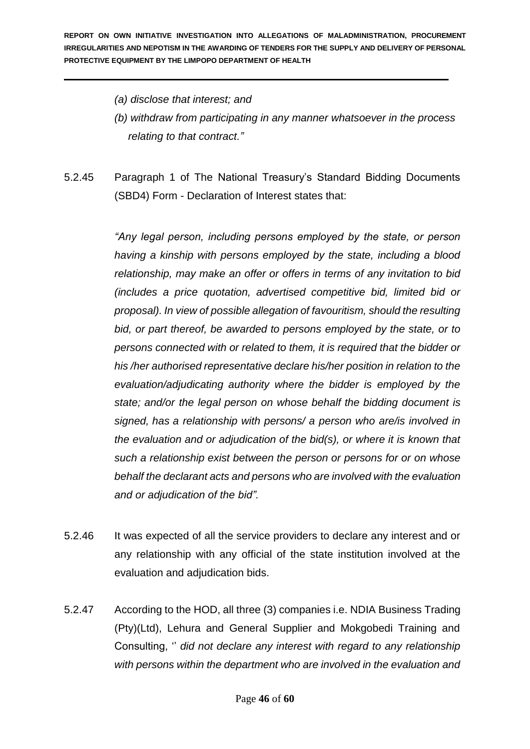- *(a) disclose that interest; and*
- *(b) withdraw from participating in any manner whatsoever in the process relating to that contract."*
- 5.2.45 Paragraph 1 of The National Treasury's Standard Bidding Documents (SBD4) Form - Declaration of Interest states that:

*"Any legal person, including persons employed by the state, or person having a kinship with persons employed by the state, including a blood relationship, may make an offer or offers in terms of any invitation to bid (includes a price quotation, advertised competitive bid, limited bid or proposal). In view of possible allegation of favouritism, should the resulting bid, or part thereof, be awarded to persons employed by the state, or to persons connected with or related to them, it is required that the bidder or his /her authorised representative declare his/her position in relation to the evaluation/adjudicating authority where the bidder is employed by the state; and/or the legal person on whose behalf the bidding document is signed, has a relationship with persons/ a person who are/is involved in the evaluation and or adjudication of the bid(s), or where it is known that such a relationship exist between the person or persons for or on whose behalf the declarant acts and persons who are involved with the evaluation and or adjudication of the bid".*

- 5.2.46 It was expected of all the service providers to declare any interest and or any relationship with any official of the state institution involved at the evaluation and adjudication bids.
- 5.2.47 According to the HOD, all three (3) companies i.e. NDIA Business Trading (Pty)(Ltd), Lehura and General Supplier and Mokgobedi Training and Consulting, '' *did not declare any interest with regard to any relationship with persons within the department who are involved in the evaluation and*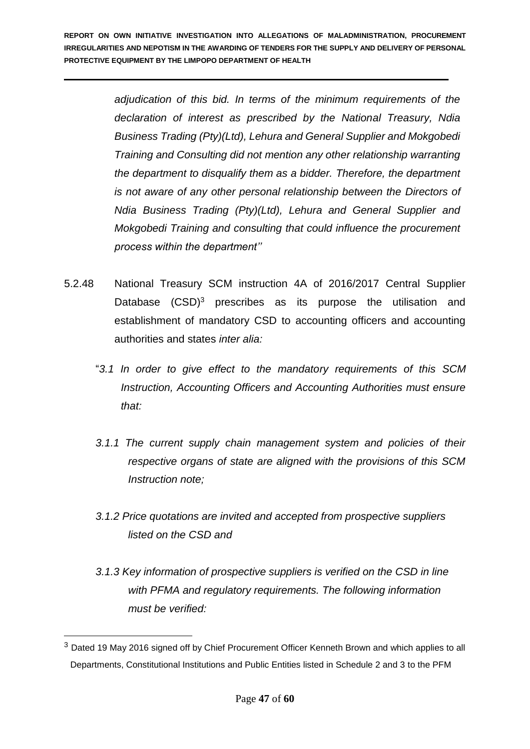> *adjudication of this bid. In terms of the minimum requirements of the declaration of interest as prescribed by the National Treasury, Ndia Business Trading (Pty)(Ltd), Lehura and General Supplier and Mokgobedi Training and Consulting did not mention any other relationship warranting the department to disqualify them as a bidder. Therefore, the department is not aware of any other personal relationship between the Directors of Ndia Business Trading (Pty)(Ltd), Lehura and General Supplier and Mokgobedi Training and consulting that could influence the procurement process within the department''*

- 5.2.48 National Treasury SCM instruction 4A of 2016/2017 Central Supplier Database (CSD)<sup>3</sup> prescribes as its purpose the utilisation and establishment of mandatory CSD to accounting officers and accounting authorities and states *inter alia:* 
	- "*3.1 In order to give effect to the mandatory requirements of this SCM Instruction, Accounting Officers and Accounting Authorities must ensure that:*
	- *3.1.1 The current supply chain management system and policies of their respective organs of state are aligned with the provisions of this SCM Instruction note;*
	- *3.1.2 Price quotations are invited and accepted from prospective suppliers listed on the CSD and*
	- *3.1.3 Key information of prospective suppliers is verified on the CSD in line with PFMA and regulatory requirements. The following information must be verified:*

1

<sup>&</sup>lt;sup>3</sup> Dated 19 May 2016 signed off by Chief Procurement Officer Kenneth Brown and which applies to all Departments, Constitutional Institutions and Public Entities listed in Schedule 2 and 3 to the PFM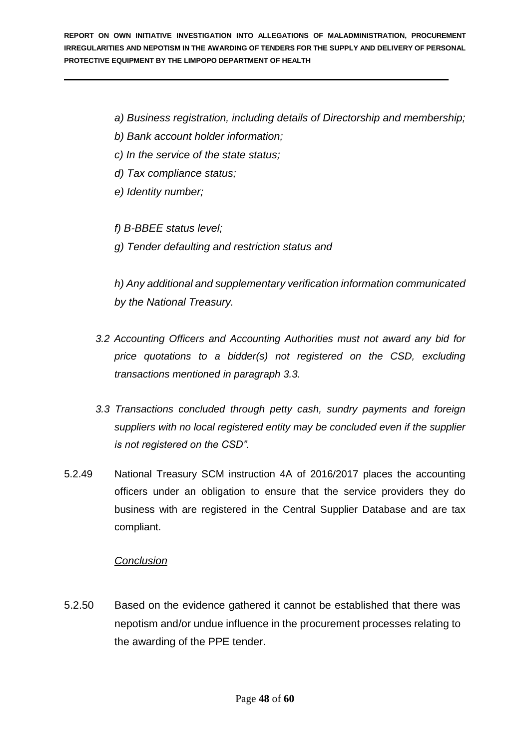- *a) Business registration, including details of Directorship and membership;*
- *b) Bank account holder information;*
- *c) In the service of the state status;*
- *d) Tax compliance status;*
- *e) Identity number;*

*f) B-BBEE status level;* 

*g) Tender defaulting and restriction status and* 

*h) Any additional and supplementary verification information communicated by the National Treasury.* 

- *3.2 Accounting Officers and Accounting Authorities must not award any bid for price quotations to a bidder(s) not registered on the CSD, excluding transactions mentioned in paragraph 3.3.*
- *3.3 Transactions concluded through petty cash, sundry payments and foreign suppliers with no local registered entity may be concluded even if the supplier is not registered on the CSD".*
- 5.2.49 National Treasury SCM instruction 4A of 2016/2017 places the accounting officers under an obligation to ensure that the service providers they do business with are registered in the Central Supplier Database and are tax compliant.

## *Conclusion*

5.2.50 Based on the evidence gathered it cannot be established that there was nepotism and/or undue influence in the procurement processes relating to the awarding of the PPE tender.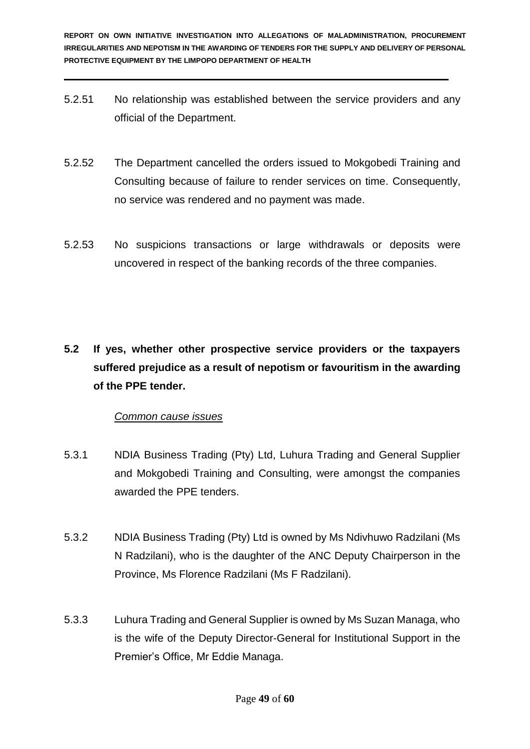- 5.2.51 No relationship was established between the service providers and any official of the Department.
- 5.2.52 The Department cancelled the orders issued to Mokgobedi Training and Consulting because of failure to render services on time. Consequently, no service was rendered and no payment was made.
- 5.2.53 No suspicions transactions or large withdrawals or deposits were uncovered in respect of the banking records of the three companies.
- **5.2 If yes, whether other prospective service providers or the taxpayers suffered prejudice as a result of nepotism or favouritism in the awarding of the PPE tender.**

## *Common cause issues*

- 5.3.1 NDIA Business Trading (Pty) Ltd, Luhura Trading and General Supplier and Mokgobedi Training and Consulting, were amongst the companies awarded the PPE tenders.
- 5.3.2 NDIA Business Trading (Pty) Ltd is owned by Ms Ndivhuwo Radzilani (Ms N Radzilani), who is the daughter of the ANC Deputy Chairperson in the Province, Ms Florence Radzilani (Ms F Radzilani).
- 5.3.3 Luhura Trading and General Supplier is owned by Ms Suzan Managa, who is the wife of the Deputy Director-General for Institutional Support in the Premier's Office, Mr Eddie Managa.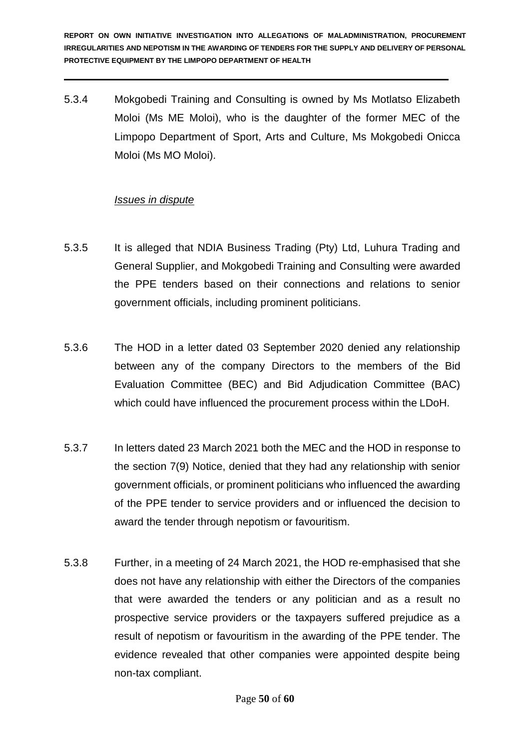5.3.4 Mokgobedi Training and Consulting is owned by Ms Motlatso Elizabeth Moloi (Ms ME Moloi), who is the daughter of the former MEC of the Limpopo Department of Sport, Arts and Culture, Ms Mokgobedi Onicca Moloi (Ms MO Moloi).

#### *Issues in dispute*

- 5.3.5 It is alleged that NDIA Business Trading (Pty) Ltd, Luhura Trading and General Supplier, and Mokgobedi Training and Consulting were awarded the PPE tenders based on their connections and relations to senior government officials, including prominent politicians.
- 5.3.6 The HOD in a letter dated 03 September 2020 denied any relationship between any of the company Directors to the members of the Bid Evaluation Committee (BEC) and Bid Adjudication Committee (BAC) which could have influenced the procurement process within the LDoH.
- 5.3.7 In letters dated 23 March 2021 both the MEC and the HOD in response to the section 7(9) Notice, denied that they had any relationship with senior government officials, or prominent politicians who influenced the awarding of the PPE tender to service providers and or influenced the decision to award the tender through nepotism or favouritism.
- 5.3.8 Further, in a meeting of 24 March 2021, the HOD re-emphasised that she does not have any relationship with either the Directors of the companies that were awarded the tenders or any politician and as a result no prospective service providers or the taxpayers suffered prejudice as a result of nepotism or favouritism in the awarding of the PPE tender. The evidence revealed that other companies were appointed despite being non-tax compliant.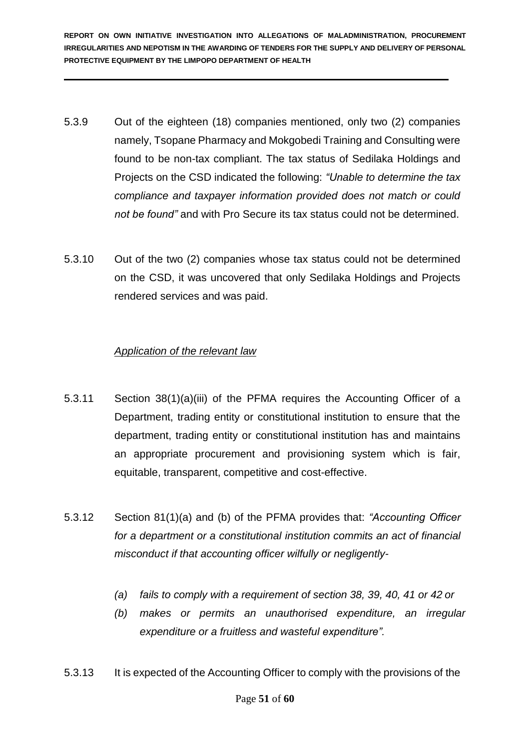- 5.3.9 Out of the eighteen (18) companies mentioned, only two (2) companies namely, Tsopane Pharmacy and Mokgobedi Training and Consulting were found to be non-tax compliant. The tax status of Sedilaka Holdings and Projects on the CSD indicated the following: *"Unable to determine the tax compliance and taxpayer information provided does not match or could not be found"* and with Pro Secure its tax status could not be determined.
- 5.3.10 Out of the two (2) companies whose tax status could not be determined on the CSD, it was uncovered that only Sedilaka Holdings and Projects rendered services and was paid.

#### *Application of the relevant law*

- 5.3.11 Section 38(1)(a)(iii) of the PFMA requires the Accounting Officer of a Department, trading entity or constitutional institution to ensure that the department, trading entity or constitutional institution has and maintains an appropriate procurement and provisioning system which is fair, equitable, transparent, competitive and cost-effective.
- 5.3.12 Section 81(1)(a) and (b) of the PFMA provides that: *"Accounting Officer for a department or a constitutional institution commits an act of financial misconduct if that accounting officer wilfully or negligently-*
	- *(a) fails to comply with a requirement of section 38, 39, 40, 41 or 42 or*
	- *(b) makes or permits an unauthorised expenditure, an irregular expenditure or a fruitless and wasteful expenditure".*
- 5.3.13 It is expected of the Accounting Officer to comply with the provisions of the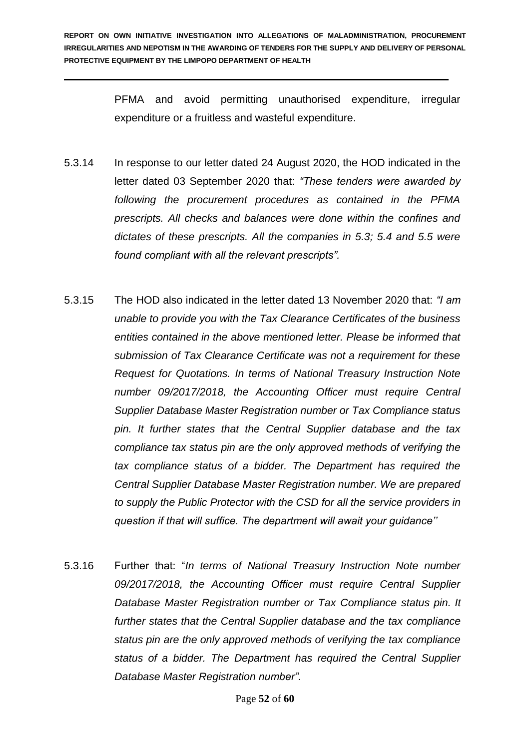PFMA and avoid permitting unauthorised expenditure, irregular expenditure or a fruitless and wasteful expenditure.

- 5.3.14 In response to our letter dated 24 August 2020, the HOD indicated in the letter dated 03 September 2020 that: *"These tenders were awarded by following the procurement procedures as contained in the PFMA prescripts. All checks and balances were done within the confines and dictates of these prescripts. All the companies in 5.3; 5.4 and 5.5 were found compliant with all the relevant prescripts".*
- 5.3.15 The HOD also indicated in the letter dated 13 November 2020 that: *"I am unable to provide you with the Tax Clearance Certificates of the business entities contained in the above mentioned letter. Please be informed that submission of Tax Clearance Certificate was not a requirement for these Request for Quotations. In terms of National Treasury Instruction Note number 09/2017/2018, the Accounting Officer must require Central Supplier Database Master Registration number or Tax Compliance status pin. It further states that the Central Supplier database and the tax compliance tax status pin are the only approved methods of verifying the tax compliance status of a bidder. The Department has required the Central Supplier Database Master Registration number. We are prepared to supply the Public Protector with the CSD for all the service providers in question if that will suffice. The department will await your guidance''*
- 5.3.16 Further that: "*In terms of National Treasury Instruction Note number 09/2017/2018, the Accounting Officer must require Central Supplier Database Master Registration number or Tax Compliance status pin. It further states that the Central Supplier database and the tax compliance status pin are the only approved methods of verifying the tax compliance status of a bidder. The Department has required the Central Supplier Database Master Registration number".*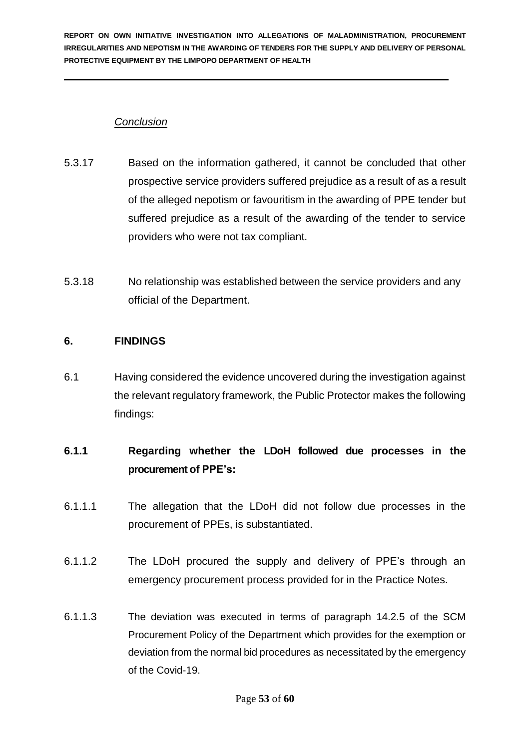## *Conclusion*

- 5.3.17 Based on the information gathered, it cannot be concluded that other prospective service providers suffered prejudice as a result of as a result of the alleged nepotism or favouritism in the awarding of PPE tender but suffered prejudice as a result of the awarding of the tender to service providers who were not tax compliant.
- 5.3.18 No relationship was established between the service providers and any official of the Department.

## **6. FINDINGS**

6.1 Having considered the evidence uncovered during the investigation against the relevant regulatory framework, the Public Protector makes the following findings:

## **6.1.1 Regarding whether the LDoH followed due processes in the procurement of PPE's:**

- 6.1.1.1 The allegation that the LDoH did not follow due processes in the procurement of PPEs, is substantiated.
- 6.1.1.2 The LDoH procured the supply and delivery of PPE's through an emergency procurement process provided for in the Practice Notes.
- 6.1.1.3 The deviation was executed in terms of paragraph 14.2.5 of the SCM Procurement Policy of the Department which provides for the exemption or deviation from the normal bid procedures as necessitated by the emergency of the Covid-19.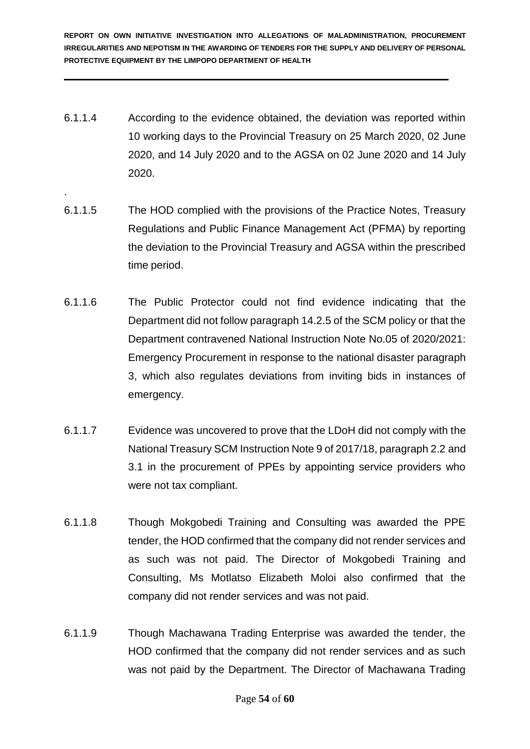- 6.1.1.4 According to the evidence obtained, the deviation was reported within 10 working days to the Provincial Treasury on 25 March 2020, 02 June 2020, and 14 July 2020 and to the AGSA on 02 June 2020 and 14 July 2020.
- 6.1.1.5 The HOD complied with the provisions of the Practice Notes, Treasury Regulations and Public Finance Management Act (PFMA) by reporting the deviation to the Provincial Treasury and AGSA within the prescribed time period.

.

- 6.1.1.6 The Public Protector could not find evidence indicating that the Department did not follow paragraph 14.2.5 of the SCM policy or that the Department contravened National Instruction Note No.05 of 2020/2021: Emergency Procurement in response to the national disaster paragraph 3, which also regulates deviations from inviting bids in instances of emergency.
- 6.1.1.7 Evidence was uncovered to prove that the LDoH did not comply with the National Treasury SCM Instruction Note 9 of 2017/18, paragraph 2.2 and 3.1 in the procurement of PPEs by appointing service providers who were not tax compliant.
- 6.1.1.8 Though Mokgobedi Training and Consulting was awarded the PPE tender, the HOD confirmed that the company did not render services and as such was not paid. The Director of Mokgobedi Training and Consulting, Ms Motlatso Elizabeth Moloi also confirmed that the company did not render services and was not paid.
- 6.1.1.9 Though Machawana Trading Enterprise was awarded the tender, the HOD confirmed that the company did not render services and as such was not paid by the Department. The Director of Machawana Trading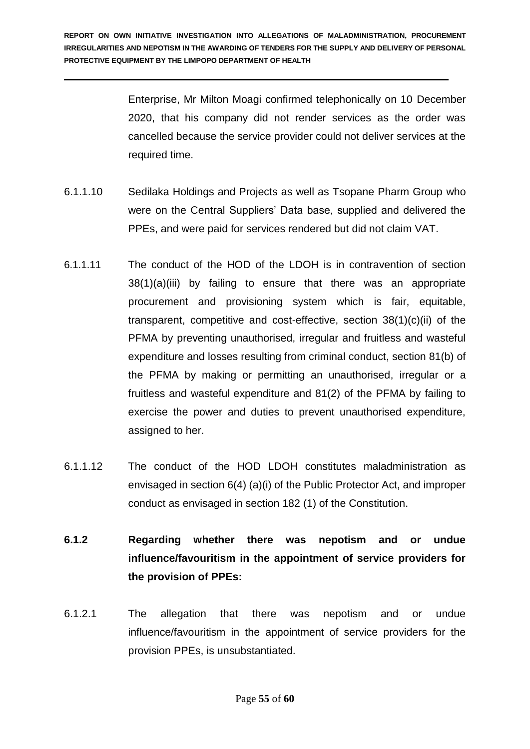Enterprise, Mr Milton Moagi confirmed telephonically on 10 December 2020, that his company did not render services as the order was cancelled because the service provider could not deliver services at the required time.

- 6.1.1.10 Sedilaka Holdings and Projects as well as Tsopane Pharm Group who were on the Central Suppliers' Data base, supplied and delivered the PPEs, and were paid for services rendered but did not claim VAT.
- 6.1.1.11 The conduct of the HOD of the LDOH is in contravention of section 38(1)(a)(iii) by failing to ensure that there was an appropriate procurement and provisioning system which is fair, equitable, transparent, competitive and cost-effective, section 38(1)(c)(ii) of the PFMA by preventing unauthorised, irregular and fruitless and wasteful expenditure and losses resulting from criminal conduct, section 81(b) of the PFMA by making or permitting an unauthorised, irregular or a fruitless and wasteful expenditure and 81(2) of the PFMA by failing to exercise the power and duties to prevent unauthorised expenditure, assigned to her.
- 6.1.1.12 The conduct of the HOD LDOH constitutes maladministration as envisaged in section 6(4) (a)(i) of the Public Protector Act, and improper conduct as envisaged in section 182 (1) of the Constitution.
- **6.1.2 Regarding whether there was nepotism and or undue influence/favouritism in the appointment of service providers for the provision of PPEs:**
- 6.1.2.1 The allegation that there was nepotism and or undue influence/favouritism in the appointment of service providers for the provision PPEs, is unsubstantiated.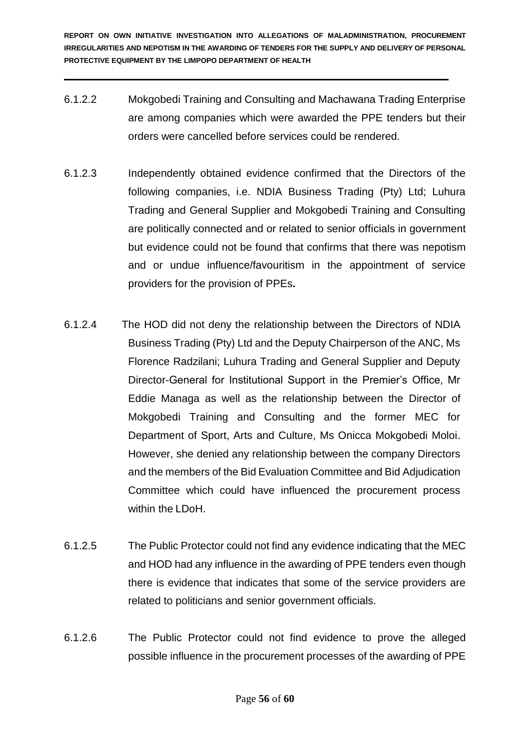- 6.1.2.2 Mokgobedi Training and Consulting and Machawana Trading Enterprise are among companies which were awarded the PPE tenders but their orders were cancelled before services could be rendered.
- 6.1.2.3 Independently obtained evidence confirmed that the Directors of the following companies, i.e. NDIA Business Trading (Pty) Ltd; Luhura Trading and General Supplier and Mokgobedi Training and Consulting are politically connected and or related to senior officials in government but evidence could not be found that confirms that there was nepotism and or undue influence/favouritism in the appointment of service providers for the provision of PPEs**.**
- 6.1.2.4 The HOD did not deny the relationship between the Directors of NDIA Business Trading (Pty) Ltd and the Deputy Chairperson of the ANC, Ms Florence Radzilani; Luhura Trading and General Supplier and Deputy Director-General for Institutional Support in the Premier's Office, Mr Eddie Managa as well as the relationship between the Director of Mokgobedi Training and Consulting and the former MEC for Department of Sport, Arts and Culture, Ms Onicca Mokgobedi Moloi. However, she denied any relationship between the company Directors and the members of the Bid Evaluation Committee and Bid Adjudication Committee which could have influenced the procurement process within the LDoH.
- 6.1.2.5 The Public Protector could not find any evidence indicating that the MEC and HOD had any influence in the awarding of PPE tenders even though there is evidence that indicates that some of the service providers are related to politicians and senior government officials.
- 6.1.2.6 The Public Protector could not find evidence to prove the alleged possible influence in the procurement processes of the awarding of PPE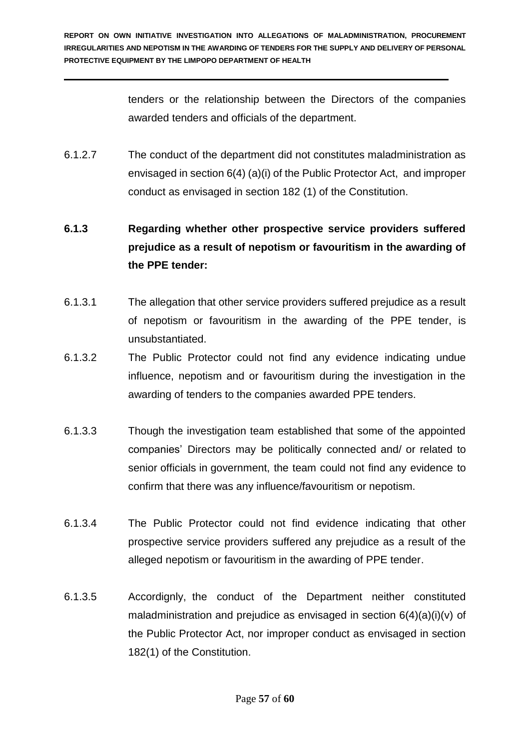tenders or the relationship between the Directors of the companies awarded tenders and officials of the department.

6.1.2.7 The conduct of the department did not constitutes maladministration as envisaged in section 6(4) (a)(i) of the Public Protector Act, and improper conduct as envisaged in section 182 (1) of the Constitution.

# **6.1.3 Regarding whether other prospective service providers suffered prejudice as a result of nepotism or favouritism in the awarding of the PPE tender:**

- 6.1.3.1 The allegation that other service providers suffered prejudice as a result of nepotism or favouritism in the awarding of the PPE tender, is unsubstantiated.
- 6.1.3.2 The Public Protector could not find any evidence indicating undue influence, nepotism and or favouritism during the investigation in the awarding of tenders to the companies awarded PPE tenders.
- 6.1.3.3 Though the investigation team established that some of the appointed companies' Directors may be politically connected and/ or related to senior officials in government, the team could not find any evidence to confirm that there was any influence/favouritism or nepotism.
- 6.1.3.4 The Public Protector could not find evidence indicating that other prospective service providers suffered any prejudice as a result of the alleged nepotism or favouritism in the awarding of PPE tender.
- 6.1.3.5 Accordignly, the conduct of the Department neither constituted maladministration and prejudice as envisaged in section  $6(4)(a)(i)(v)$  of the Public Protector Act, nor improper conduct as envisaged in section 182(1) of the Constitution.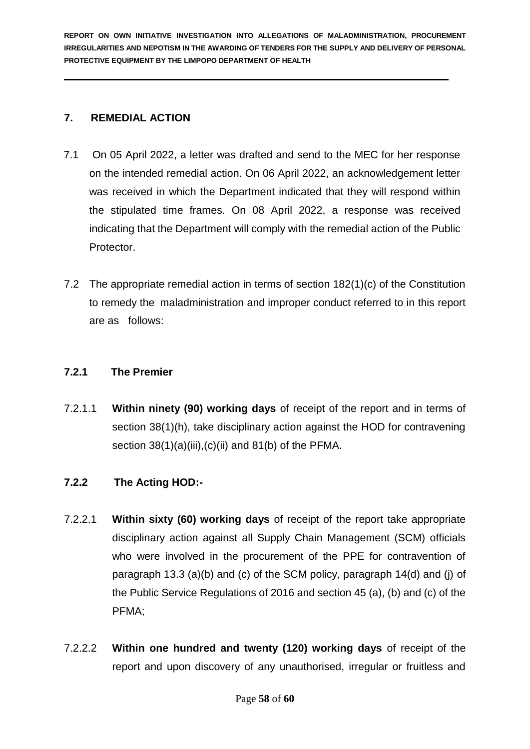## **7. REMEDIAL ACTION**

- 7.1 On 05 April 2022, a letter was drafted and send to the MEC for her response on the intended remedial action. On 06 April 2022, an acknowledgement letter was received in which the Department indicated that they will respond within the stipulated time frames. On 08 April 2022, a response was received indicating that the Department will comply with the remedial action of the Public Protector.
- 7.2 The appropriate remedial action in terms of section 182(1)(c) of the Constitution to remedy the maladministration and improper conduct referred to in this report are as follows:

## **7.2.1 The Premier**

7.2.1.1 **Within ninety (90) working days** of receipt of the report and in terms of section 38(1)(h), take disciplinary action against the HOD for contravening section  $38(1)(a)(iii),(c)(ii)$  and  $81(b)$  of the PFMA.

## **7.2.2 The Acting HOD:-**

- 7.2.2.1 **Within sixty (60) working days** of receipt of the report take appropriate disciplinary action against all Supply Chain Management (SCM) officials who were involved in the procurement of the PPE for contravention of paragraph 13.3 (a)(b) and (c) of the SCM policy, paragraph 14(d) and (j) of the Public Service Regulations of 2016 and section 45 (a), (b) and (c) of the PFMA;
- 7.2.2.2 **Within one hundred and twenty (120) working days** of receipt of the report and upon discovery of any unauthorised, irregular or fruitless and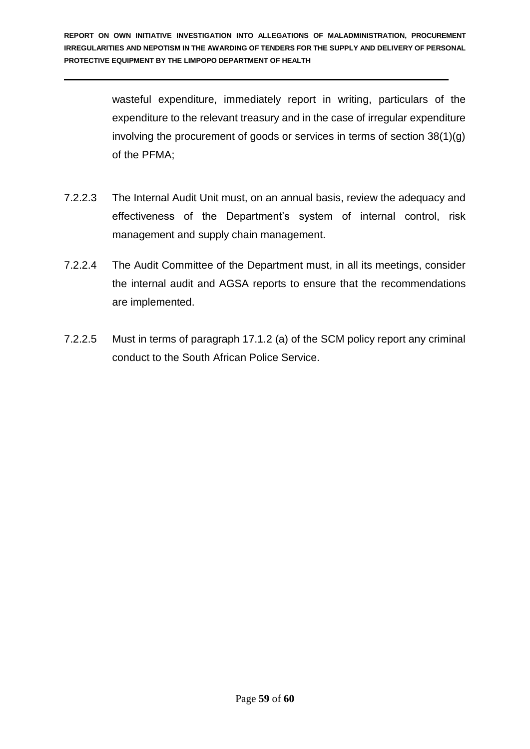wasteful expenditure, immediately report in writing, particulars of the expenditure to the relevant treasury and in the case of irregular expenditure involving the procurement of goods or services in terms of section 38(1)(g) of the PFMA;

- 7.2.2.3 The Internal Audit Unit must, on an annual basis, review the adequacy and effectiveness of the Department's system of internal control, risk management and supply chain management.
- 7.2.2.4 The Audit Committee of the Department must, in all its meetings, consider the internal audit and AGSA reports to ensure that the recommendations are implemented.
- 7.2.2.5 Must in terms of paragraph 17.1.2 (a) of the SCM policy report any criminal conduct to the South African Police Service.